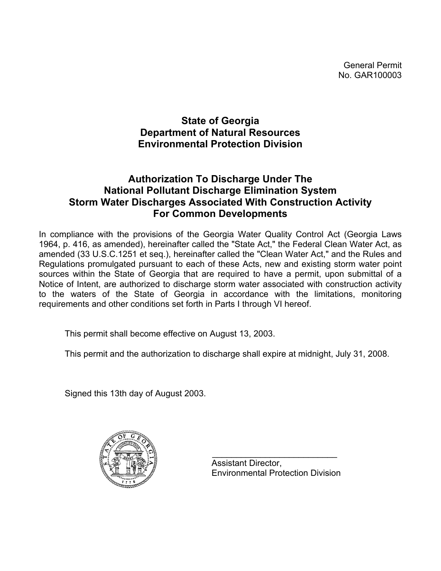General Permit No. GAR100003

# **State of Georgia Department of Natural Resources Environmental Protection Division**

# **Authorization To Discharge Under The National Pollutant Discharge Elimination System Storm Water Discharges Associated With Construction Activity For Common Developments**

In compliance with the provisions of the Georgia Water Quality Control Act (Georgia Laws 1964, p. 416, as amended), hereinafter called the "State Act," the Federal Clean Water Act, as amended (33 U.S.C.1251 et seq.), hereinafter called the "Clean Water Act," and the Rules and Regulations promulgated pursuant to each of these Acts, new and existing storm water point sources within the State of Georgia that are required to have a permit, upon submittal of a Notice of Intent, are authorized to discharge storm water associated with construction activity to the waters of the State of Georgia in accordance with the limitations, monitoring requirements and other conditions set forth in Parts I through VI hereof.

This permit shall become effective on August 13, 2003.

This permit and the authorization to discharge shall expire at midnight, July 31, 2008.

Signed this 13th day of August 2003.



 $\mathcal{L}_\text{max} = \frac{1}{2} \sum_{i=1}^{n} \frac{1}{2} \sum_{i=1}^{n} \frac{1}{2} \sum_{i=1}^{n} \frac{1}{2} \sum_{i=1}^{n} \frac{1}{2} \sum_{i=1}^{n} \frac{1}{2} \sum_{i=1}^{n} \frac{1}{2} \sum_{i=1}^{n} \frac{1}{2} \sum_{i=1}^{n} \frac{1}{2} \sum_{i=1}^{n} \frac{1}{2} \sum_{i=1}^{n} \frac{1}{2} \sum_{i=1}^{n} \frac{1}{2} \sum_{i=1}^{n} \frac{1$  Assistant Director, Environmental Protection Division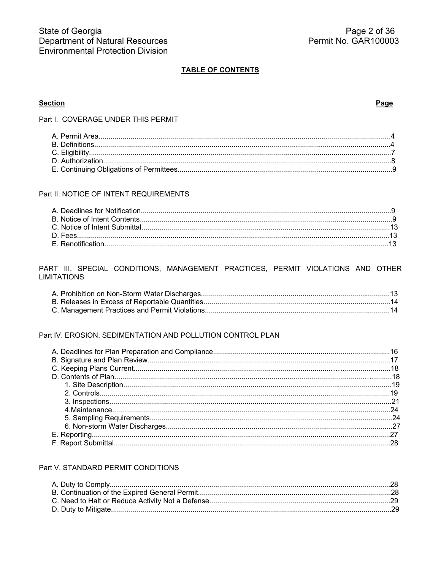## **TABLE OF CONTENTS**

## **Section**

#### Page

Part I. COVERAGE UNDER THIS PERMIT

## Part II. NOTICE OF INTENT REQUIREMENTS

### PART III. SPECIAL CONDITIONS, MANAGEMENT PRACTICES, PERMIT VIOLATIONS AND OTHER **LIMITATIONS**

## Part IV. EROSION, SEDIMENTATION AND POLLUTION CONTROL PLAN

### Part V. STANDARD PERMIT CONDITIONS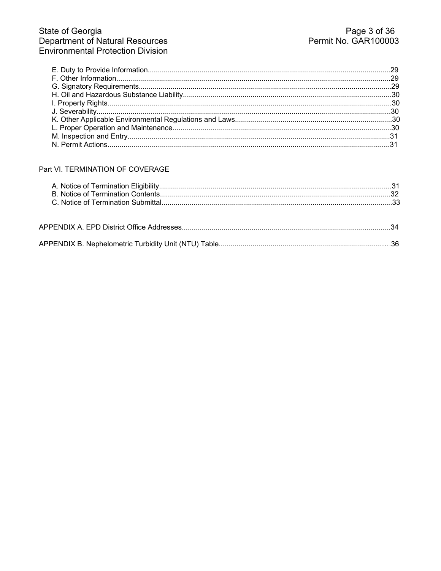# Part VI. TERMINATION OF COVERAGE

|--|--|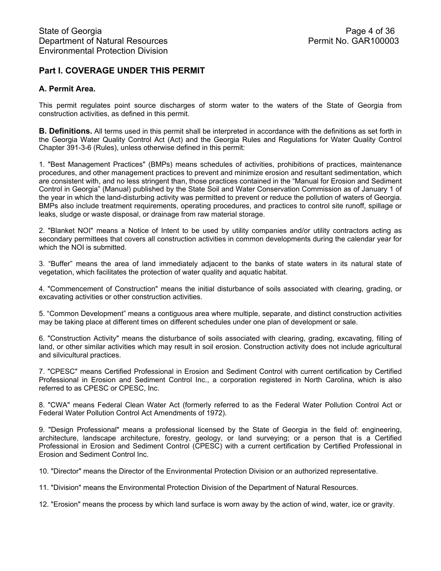# **Part I. COVERAGE UNDER THIS PERMIT**

## **A. Permit Area.**

This permit regulates point source discharges of storm water to the waters of the State of Georgia from construction activities, as defined in this permit.

**B. Definitions.** All terms used in this permit shall be interpreted in accordance with the definitions as set forth in the Georgia Water Quality Control Act (Act) and the Georgia Rules and Regulations for Water Quality Control Chapter 391-3-6 (Rules), unless otherwise defined in this permit:

1. "Best Management Practices" (BMPs) means schedules of activities, prohibitions of practices, maintenance procedures, and other management practices to prevent and minimize erosion and resultant sedimentation, which are consistent with, and no less stringent than, those practices contained in the "Manual for Erosion and Sediment Control in Georgia" (Manual) published by the State Soil and Water Conservation Commission as of January 1 of the year in which the land-disturbing activity was permitted to prevent or reduce the pollution of waters of Georgia. BMPs also include treatment requirements, operating procedures, and practices to control site runoff, spillage or leaks, sludge or waste disposal, or drainage from raw material storage.

2. "Blanket NOI" means a Notice of Intent to be used by utility companies and/or utility contractors acting as secondary permittees that covers all construction activities in common developments during the calendar year for which the NOI is submitted.

3. "Buffer" means the area of land immediately adjacent to the banks of state waters in its natural state of vegetation, which facilitates the protection of water quality and aquatic habitat.

4. "Commencement of Construction" means the initial disturbance of soils associated with clearing, grading, or excavating activities or other construction activities.

5. "Common Development" means a contiguous area where multiple, separate, and distinct construction activities may be taking place at different times on different schedules under one plan of development or sale.

6. "Construction Activity" means the disturbance of soils associated with clearing, grading, excavating, filling of land, or other similar activities which may result in soil erosion. Construction activity does not include agricultural and silvicultural practices.

7. "CPESC" means Certified Professional in Erosion and Sediment Control with current certification by Certified Professional in Erosion and Sediment Control Inc., a corporation registered in North Carolina, which is also referred to as CPESC or CPESC, Inc.

8. "CWA" means Federal Clean Water Act (formerly referred to as the Federal Water Pollution Control Act or Federal Water Pollution Control Act Amendments of 1972).

9. "Design Professional" means a professional licensed by the State of Georgia in the field of: engineering, architecture, landscape architecture, forestry, geology, or land surveying; or a person that is a Certified Professional in Erosion and Sediment Control (CPESC) with a current certification by Certified Professional in Erosion and Sediment Control Inc.

10. "Director" means the Director of the Environmental Protection Division or an authorized representative.

11. "Division" means the Environmental Protection Division of the Department of Natural Resources.

12. "Erosion" means the process by which land surface is worn away by the action of wind, water, ice or gravity.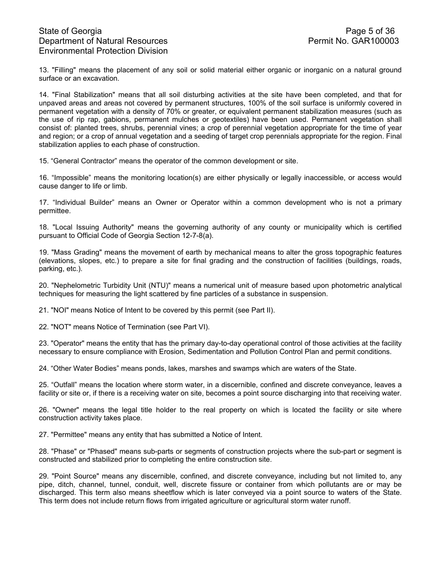13. "Filling" means the placement of any soil or solid material either organic or inorganic on a natural ground surface or an excavation.

14. "Final Stabilization" means that all soil disturbing activities at the site have been completed, and that for unpaved areas and areas not covered by permanent structures, 100% of the soil surface is uniformly covered in permanent vegetation with a density of 70% or greater, or equivalent permanent stabilization measures (such as the use of rip rap, gabions, permanent mulches or geotextiles) have been used. Permanent vegetation shall consist of: planted trees, shrubs, perennial vines; a crop of perennial vegetation appropriate for the time of year and region; or a crop of annual vegetation and a seeding of target crop perennials appropriate for the region. Final stabilization applies to each phase of construction.

15. "General Contractor" means the operator of the common development or site.

16. "Impossible" means the monitoring location(s) are either physically or legally inaccessible, or access would cause danger to life or limb.

17. "Individual Builder" means an Owner or Operator within a common development who is not a primary permittee.

18. "Local Issuing Authority" means the governing authority of any county or municipality which is certified pursuant to Official Code of Georgia Section 12-7-8(a).

19. "Mass Grading" means the movement of earth by mechanical means to alter the gross topographic features (elevations, slopes, etc.) to prepare a site for final grading and the construction of facilities (buildings, roads, parking, etc.).

20. "Nephelometric Turbidity Unit (NTU)" means a numerical unit of measure based upon photometric analytical techniques for measuring the light scattered by fine particles of a substance in suspension.

21. "NOI" means Notice of Intent to be covered by this permit (see Part II).

22. "NOT" means Notice of Termination (see Part VI).

23. "Operator" means the entity that has the primary day-to-day operational control of those activities at the facility necessary to ensure compliance with Erosion, Sedimentation and Pollution Control Plan and permit conditions.

24. "Other Water Bodies" means ponds, lakes, marshes and swamps which are waters of the State.

25. "Outfall" means the location where storm water, in a discernible, confined and discrete conveyance, leaves a facility or site or, if there is a receiving water on site, becomes a point source discharging into that receiving water.

26. "Owner" means the legal title holder to the real property on which is located the facility or site where construction activity takes place.

27. "Permittee" means any entity that has submitted a Notice of Intent.

28. "Phase" or "Phased" means sub-parts or segments of construction projects where the sub-part or segment is constructed and stabilized prior to completing the entire construction site.

29. "Point Source" means any discernible, confined, and discrete conveyance, including but not limited to, any pipe, ditch, channel, tunnel, conduit, well, discrete fissure or container from which pollutants are or may be discharged. This term also means sheetflow which is later conveyed via a point source to waters of the State. This term does not include return flows from irrigated agriculture or agricultural storm water runoff.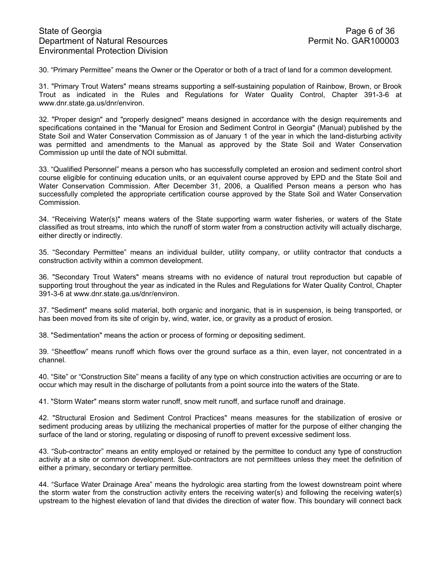30. "Primary Permittee" means the Owner or the Operator or both of a tract of land for a common development.

31. "Primary Trout Waters" means streams supporting a self-sustaining population of Rainbow, Brown, or Brook Trout as indicated in the Rules and Regulations for Water Quality Control, Chapter 391-3-6 at www.dnr.state.ga.us/dnr/environ.

32. "Proper design" and "properly designed" means designed in accordance with the design requirements and specifications contained in the "Manual for Erosion and Sediment Control in Georgia" (Manual) published by the State Soil and Water Conservation Commission as of January 1 of the year in which the land-disturbing activity was permitted and amendments to the Manual as approved by the State Soil and Water Conservation Commission up until the date of NOI submittal.

33. "Qualified Personnel" means a person who has successfully completed an erosion and sediment control short course eligible for continuing education units, or an equivalent course approved by EPD and the State Soil and Water Conservation Commission. After December 31, 2006, a Qualified Person means a person who has successfully completed the appropriate certification course approved by the State Soil and Water Conservation Commission.

34. "Receiving Water(s)" means waters of the State supporting warm water fisheries, or waters of the State classified as trout streams, into which the runoff of storm water from a construction activity will actually discharge, either directly or indirectly.

35. "Secondary Permittee" means an individual builder, utility company, or utility contractor that conducts a construction activity within a common development.

36. "Secondary Trout Waters" means streams with no evidence of natural trout reproduction but capable of supporting trout throughout the year as indicated in the Rules and Regulations for Water Quality Control, Chapter 391-3-6 at www.dnr.state.ga.us/dnr/environ.

37. "Sediment" means solid material, both organic and inorganic, that is in suspension, is being transported, or has been moved from its site of origin by, wind, water, ice, or gravity as a product of erosion.

38. "Sedimentation" means the action or process of forming or depositing sediment.

39. "Sheetflow" means runoff which flows over the ground surface as a thin, even layer, not concentrated in a channel.

40. "Site" or "Construction Site" means a facility of any type on which construction activities are occurring or are to occur which may result in the discharge of pollutants from a point source into the waters of the State.

41. "Storm Water" means storm water runoff, snow melt runoff, and surface runoff and drainage.

42. "Structural Erosion and Sediment Control Practices" means measures for the stabilization of erosive or sediment producing areas by utilizing the mechanical properties of matter for the purpose of either changing the surface of the land or storing, regulating or disposing of runoff to prevent excessive sediment loss.

43. "Sub-contractor" means an entity employed or retained by the permittee to conduct any type of construction activity at a site or common development. Sub-contractors are not permittees unless they meet the definition of either a primary, secondary or tertiary permittee.

44. "Surface Water Drainage Area" means the hydrologic area starting from the lowest downstream point where the storm water from the construction activity enters the receiving water(s) and following the receiving water(s) upstream to the highest elevation of land that divides the direction of water flow. This boundary will connect back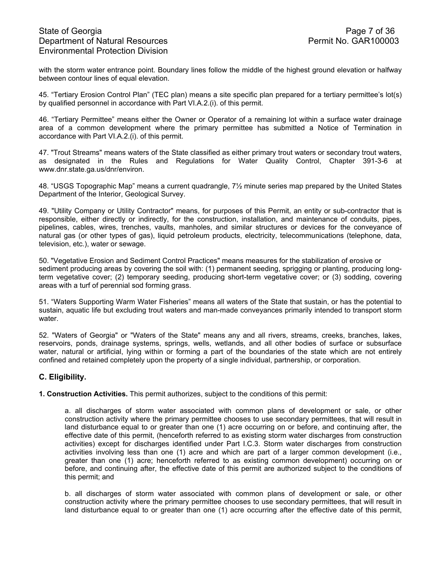with the storm water entrance point. Boundary lines follow the middle of the highest ground elevation or halfway between contour lines of equal elevation.

45. "Tertiary Erosion Control Plan" (TEC plan) means a site specific plan prepared for a tertiary permittee's lot(s) by qualified personnel in accordance with Part VI.A.2.(i). of this permit.

46. "Tertiary Permittee" means either the Owner or Operator of a remaining lot within a surface water drainage area of a common development where the primary permittee has submitted a Notice of Termination in accordance with Part VI.A.2.(i). of this permit.

47. "Trout Streams" means waters of the State classified as either primary trout waters or secondary trout waters, as designated in the Rules and Regulations for Water Quality Control, Chapter 391-3-6 at www.dnr.state.ga.us/dnr/environ.

48. "USGS Topographic Map" means a current quadrangle, 7½ minute series map prepared by the United States Department of the Interior, Geological Survey.

49. "Utility Company or Utility Contractor" means, for purposes of this Permit, an entity or sub-contractor that is responsible, either directly or indirectly, for the construction, installation, and maintenance of conduits, pipes, pipelines, cables, wires, trenches, vaults, manholes, and similar structures or devices for the conveyance of natural gas (or other types of gas), liquid petroleum products, electricity, telecommunications (telephone, data, television, etc.), water or sewage.

50. "Vegetative Erosion and Sediment Control Practices" means measures for the stabilization of erosive or sediment producing areas by covering the soil with: (1) permanent seeding, sprigging or planting, producing longterm vegetative cover; (2) temporary seeding, producing short-term vegetative cover; or (3) sodding, covering areas with a turf of perennial sod forming grass.

51. "Waters Supporting Warm Water Fisheries" means all waters of the State that sustain, or has the potential to sustain, aquatic life but excluding trout waters and man-made conveyances primarily intended to transport storm water.

52. "Waters of Georgia" or "Waters of the State" means any and all rivers, streams, creeks, branches, lakes, reservoirs, ponds, drainage systems, springs, wells, wetlands, and all other bodies of surface or subsurface water, natural or artificial, lying within or forming a part of the boundaries of the state which are not entirely confined and retained completely upon the property of a single individual, partnership, or corporation.

## **C. Eligibility.**

**1. Construction Activities.** This permit authorizes, subject to the conditions of this permit:

a. all discharges of storm water associated with common plans of development or sale, or other construction activity where the primary permittee chooses to use secondary permittees, that will result in land disturbance equal to or greater than one (1) acre occurring on or before, and continuing after, the effective date of this permit, (henceforth referred to as existing storm water discharges from construction activities) except for discharges identified under Part I.C.3. Storm water discharges from construction activities involving less than one (1) acre and which are part of a larger common development (i.e., greater than one (1) acre; henceforth referred to as existing common development) occurring on or before, and continuing after, the effective date of this permit are authorized subject to the conditions of this permit; and

b. all discharges of storm water associated with common plans of development or sale, or other construction activity where the primary permittee chooses to use secondary permittees, that will result in land disturbance equal to or greater than one (1) acre occurring after the effective date of this permit,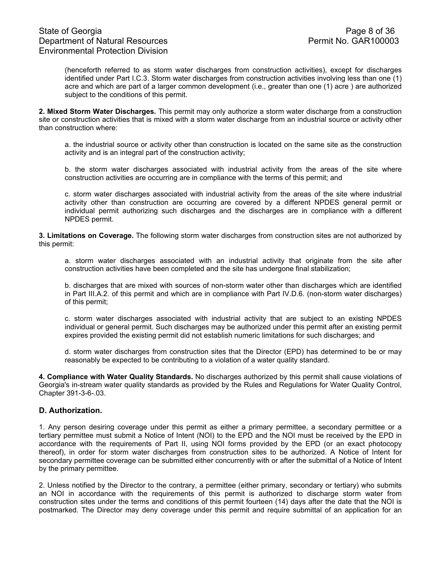# State of Georgia **Page 8 of 36** Department of Natural Resources **Permit No. GAR100003** Environmental Protection Division

(henceforth referred to as storm water discharges from construction activities), except for discharges identified under Part I.C.3. Storm water discharges from construction activities involving less than one (1) acre and which are part of a larger common development (i.e., greater than one (1) acre ) are authorized subject to the conditions of this permit.

**2. Mixed Storm Water Discharges.** This permit may only authorize a storm water discharge from a construction site or construction activities that is mixed with a storm water discharge from an industrial source or activity other than construction where:

 a. the industrial source or activity other than construction is located on the same site as the construction activity and is an integral part of the construction activity;

 b. the storm water discharges associated with industrial activity from the areas of the site where construction activities are occurring are in compliance with the terms of this permit; and

c. storm water discharges associated with industrial activity from the areas of the site where industrial activity other than construction are occurring are covered by a different NPDES general permit or individual permit authorizing such discharges and the discharges are in compliance with a different NPDES permit.

**3. Limitations on Coverage.** The following storm water discharges from construction sites are not authorized by this permit:

a. storm water discharges associated with an industrial activity that originate from the site after construction activities have been completed and the site has undergone final stabilization;

b. discharges that are mixed with sources of non-storm water other than discharges which are identified in Part III.A.2. of this permit and which are in compliance with Part IV.D.6. (non-storm water discharges) of this permit;

c. storm water discharges associated with industrial activity that are subject to an existing NPDES individual or general permit. Such discharges may be authorized under this permit after an existing permit expires provided the existing permit did not establish numeric limitations for such discharges; and

d. storm water discharges from construction sites that the Director (EPD) has determined to be or may reasonably be expected to be contributing to a violation of a water quality standard.

**4. Compliance with Water Quality Standards.** No discharges authorized by this permit shall cause violations of Georgia's in-stream water quality standards as provided by the Rules and Regulations for Water Quality Control, Chapter 391-3-6-.03.

## **D. Authorization.**

1. Any person desiring coverage under this permit as either a primary permittee, a secondary permittee or a tertiary permittee must submit a Notice of Intent (NOI) to the EPD and the NOI must be received by the EPD in accordance with the requirements of Part II, using NOI forms provided by the EPD (or an exact photocopy thereof), in order for storm water discharges from construction sites to be authorized. A Notice of Intent for secondary permittee coverage can be submitted either concurrently with or after the submittal of a Notice of Intent by the primary permittee.

2. Unless notified by the Director to the contrary, a permittee (either primary, secondary or tertiary) who submits an NOI in accordance with the requirements of this permit is authorized to discharge storm water from construction sites under the terms and conditions of this permit fourteen (14) days after the date that the NOI is postmarked. The Director may deny coverage under this permit and require submittal of an application for an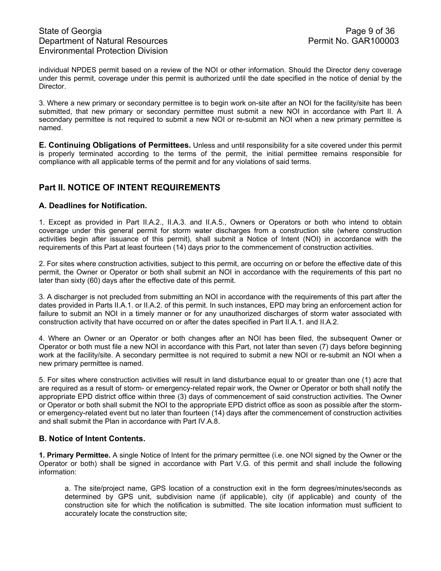individual NPDES permit based on a review of the NOI or other information. Should the Director deny coverage under this permit, coverage under this permit is authorized until the date specified in the notice of denial by the Director.

3. Where a new primary or secondary permittee is to begin work on-site after an NOI for the facility/site has been submitted, that new primary or secondary permittee must submit a new NOI in accordance with Part II. A secondary permittee is not required to submit a new NOI or re-submit an NOI when a new primary permittee is named.

**E. Continuing Obligations of Permittees.** Unless and until responsibility for a site covered under this permit is properly terminated according to the terms of the permit, the initial permittee remains responsible for compliance with all applicable terms of the permit and for any violations of said terms.

# **Part II. NOTICE OF INTENT REQUIREMENTS**

## **A. Deadlines for Notification.**

1. Except as provided in Part II.A.2., II.A.3. and II.A.5., Owners or Operators or both who intend to obtain coverage under this general permit for storm water discharges from a construction site (where construction activities begin after issuance of this permit), shall submit a Notice of Intent (NOI) in accordance with the requirements of this Part at least fourteen (14) days prior to the commencement of construction activities.

2. For sites where construction activities, subject to this permit, are occurring on or before the effective date of this permit, the Owner or Operator or both shall submit an NOI in accordance with the requirements of this part no later than sixty (60) days after the effective date of this permit.

3. A discharger is not precluded from submitting an NOI in accordance with the requirements of this part after the dates provided in Parts II.A.1. or II.A.2. of this permit. In such instances, EPD may bring an enforcement action for failure to submit an NOI in a timely manner or for any unauthorized discharges of storm water associated with construction activity that have occurred on or after the dates specified in Part II.A.1. and II.A.2.

4. Where an Owner or an Operator or both changes after an NOI has been filed, the subsequent Owner or Operator or both must file a new NOI in accordance with this Part, not later than seven (7) days before beginning work at the facility/site. A secondary permittee is not required to submit a new NOI or re-submit an NOI when a new primary permittee is named.

5. For sites where construction activities will result in land disturbance equal to or greater than one (1) acre that are required as a result of storm- or emergency-related repair work, the Owner or Operator or both shall notify the appropriate EPD district office within three (3) days of commencement of said construction activities. The Owner or Operator or both shall submit the NOI to the appropriate EPD district office as soon as possible after the stormor emergency-related event but no later than fourteen (14) days after the commencement of construction activities and shall submit the Plan in accordance with Part IV.A.8.

## **B. Notice of Intent Contents.**

**1. Primary Permittee.** A single Notice of Intent for the primary permittee (i.e. one NOI signed by the Owner or the Operator or both) shall be signed in accordance with Part V.G. of this permit and shall include the following information:

a. The site/project name, GPS location of a construction exit in the form degrees/minutes/seconds as determined by GPS unit, subdivision name (if applicable), city (if applicable) and county of the construction site for which the notification is submitted. The site location information must sufficient to accurately locate the construction site;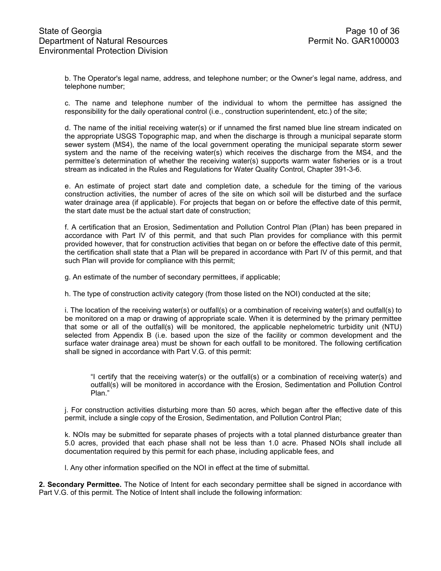b. The Operator's legal name, address, and telephone number; or the Owner's legal name, address, and telephone number;

c. The name and telephone number of the individual to whom the permittee has assigned the responsibility for the daily operational control (i.e., construction superintendent, etc.) of the site;

d. The name of the initial receiving water(s) or if unnamed the first named blue line stream indicated on the appropriate USGS Topographic map, and when the discharge is through a municipal separate storm sewer system (MS4), the name of the local government operating the municipal separate storm sewer system and the name of the receiving water(s) which receives the discharge from the MS4, and the permittee's determination of whether the receiving water(s) supports warm water fisheries or is a trout stream as indicated in the Rules and Regulations for Water Quality Control, Chapter 391-3-6.

e. An estimate of project start date and completion date, a schedule for the timing of the various construction activities, the number of acres of the site on which soil will be disturbed and the surface water drainage area (if applicable). For projects that began on or before the effective date of this permit, the start date must be the actual start date of construction;

f. A certification that an Erosion, Sedimentation and Pollution Control Plan (Plan) has been prepared in accordance with Part IV of this permit, and that such Plan provides for compliance with this permit provided however, that for construction activities that began on or before the effective date of this permit, the certification shall state that a Plan will be prepared in accordance with Part IV of this permit, and that such Plan will provide for compliance with this permit;

g. An estimate of the number of secondary permittees, if applicable;

h. The type of construction activity category (from those listed on the NOI) conducted at the site;

i. The location of the receiving water(s) or outfall(s) or a combination of receiving water(s) and outfall(s) to be monitored on a map or drawing of appropriate scale. When it is determined by the primary permittee that some or all of the outfall(s) will be monitored, the applicable nephelometric turbidity unit (NTU) selected from Appendix B (i.e. based upon the size of the facility or common development and the surface water drainage area) must be shown for each outfall to be monitored. The following certification shall be signed in accordance with Part V.G. of this permit:

"I certify that the receiving water(s) or the outfall(s) or a combination of receiving water(s) and outfall(s) will be monitored in accordance with the Erosion, Sedimentation and Pollution Control Plan."

j. For construction activities disturbing more than 50 acres, which began after the effective date of this permit, include a single copy of the Erosion, Sedimentation, and Pollution Control Plan;

k. NOIs may be submitted for separate phases of projects with a total planned disturbance greater than 5.0 acres, provided that each phase shall not be less than 1.0 acre. Phased NOIs shall include all documentation required by this permit for each phase, including applicable fees, and

l. Any other information specified on the NOI in effect at the time of submittal.

**2. Secondary Permittee.** The Notice of Intent for each secondary permittee shall be signed in accordance with Part V.G. of this permit. The Notice of Intent shall include the following information: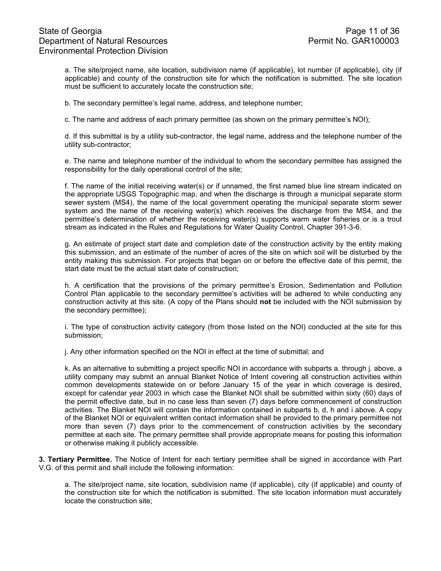a. The site/project name, site location, subdivision name (if applicable), lot number (if applicable), city (if applicable) and county of the construction site for which the notification is submitted. The site location must be sufficient to accurately locate the construction site;

b. The secondary permittee's legal name, address, and telephone number;

c. The name and address of each primary permittee (as shown on the primary permittee's NOI);

d. If this submittal is by a utility sub-contractor, the legal name, address and the telephone number of the utility sub-contractor;

e. The name and telephone number of the individual to whom the secondary permittee has assigned the responsibility for the daily operational control of the site;

f. The name of the initial receiving water(s) or if unnamed, the first named blue line stream indicated on the appropriate USGS Topographic map, and when the discharge is through a municipal separate storm sewer system (MS4), the name of the local government operating the municipal separate storm sewer system and the name of the receiving water(s) which receives the discharge from the MS4, and the permittee's determination of whether the receiving water(s) supports warm water fisheries or is a trout stream as indicated in the Rules and Regulations for Water Quality Control, Chapter 391-3-6.

g. An estimate of project start date and completion date of the construction activity by the entity making this submission, and an estimate of the number of acres of the site on which soil will be disturbed by the entity making this submission. For projects that began on or before the effective date of this permit, the start date must be the actual start date of construction;

h. A certification that the provisions of the primary permittee's Erosion, Sedimentation and Pollution Control Plan applicable to the secondary permittee's activities will be adhered to while conducting any construction activity at this site. (A copy of the Plans should **not** be included with the NOI submission by the secondary permittee);

i. The type of construction activity category (from those listed on the NOI) conducted at the site for this submission;

j. Any other information specified on the NOI in effect at the time of submittal; and

k. As an alternative to submitting a project specific NOI in accordance with subparts a. through j. above, a utility company may submit an annual Blanket Notice of Intent covering all construction activities within common developments statewide on or before January 15 of the year in which coverage is desired, except for calendar year 2003 in which case the Blanket NOI shall be submitted within sixty (60) days of the permit effective date, but in no case less than seven (7) days before commencement of construction activities. The Blanket NOI will contain the information contained in subparts b, d, h and i above. A copy of the Blanket NOI or equivalent written contact information shall be provided to the primary permittee not more than seven (7) days prior to the commencement of construction activities by the secondary permittee at each site. The primary permittee shall provide appropriate means for posting this information or otherwise making it publicly accessible.

**3. Tertiary Permittee.** The Notice of Intent for each tertiary permittee shall be signed in accordance with Part V.G. of this permit and shall include the following information:

a. The site/project name, site location, subdivision name (if applicable), city (if applicable) and county of the construction site for which the notification is submitted. The site location information must accurately locate the construction site;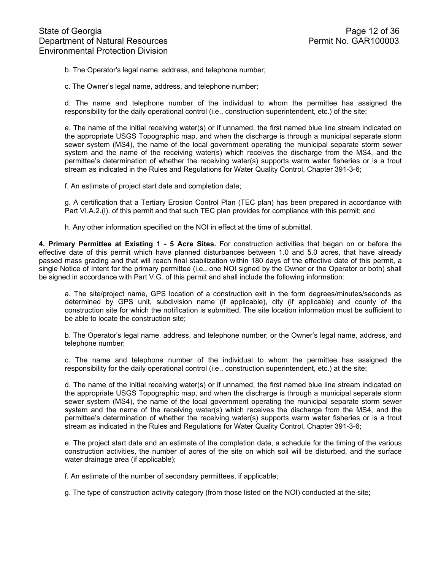b. The Operator's legal name, address, and telephone number;

c. The Owner's legal name, address, and telephone number;

d. The name and telephone number of the individual to whom the permittee has assigned the responsibility for the daily operational control (i.e., construction superintendent, etc.) of the site;

e. The name of the initial receiving water(s) or if unnamed, the first named blue line stream indicated on the appropriate USGS Topographic map, and when the discharge is through a municipal separate storm sewer system (MS4), the name of the local government operating the municipal separate storm sewer system and the name of the receiving water(s) which receives the discharge from the MS4, and the permittee's determination of whether the receiving water(s) supports warm water fisheries or is a trout stream as indicated in the Rules and Regulations for Water Quality Control, Chapter 391-3-6;

f. An estimate of project start date and completion date;

g. A certification that a Tertiary Erosion Control Plan (TEC plan) has been prepared in accordance with Part VI.A.2.(i). of this permit and that such TEC plan provides for compliance with this permit; and

h. Any other information specified on the NOI in effect at the time of submittal.

**4. Primary Permittee at Existing 1 - 5 Acre Sites.** For construction activities that began on or before the effective date of this permit which have planned disturbances between 1.0 and 5.0 acres, that have already passed mass grading and that will reach final stabilization within 180 days of the effective date of this permit, a single Notice of Intent for the primary permittee (i.e., one NOI signed by the Owner or the Operator or both) shall be signed in accordance with Part V.G. of this permit and shall include the following information:

a. The site/project name, GPS location of a construction exit in the form degrees/minutes/seconds as determined by GPS unit, subdivision name (if applicable), city (if applicable) and county of the construction site for which the notification is submitted. The site location information must be sufficient to be able to locate the construction site;

b. The Operator's legal name, address, and telephone number; or the Owner's legal name, address, and telephone number;

c. The name and telephone number of the individual to whom the permittee has assigned the responsibility for the daily operational control (i.e., construction superintendent, etc.) at the site;

d. The name of the initial receiving water(s) or if unnamed, the first named blue line stream indicated on the appropriate USGS Topographic map, and when the discharge is through a municipal separate storm sewer system (MS4), the name of the local government operating the municipal separate storm sewer system and the name of the receiving water(s) which receives the discharge from the MS4, and the permittee's determination of whether the receiving water(s) supports warm water fisheries or is a trout stream as indicated in the Rules and Regulations for Water Quality Control, Chapter 391-3-6;

e. The project start date and an estimate of the completion date, a schedule for the timing of the various construction activities, the number of acres of the site on which soil will be disturbed, and the surface water drainage area (if applicable);

f. An estimate of the number of secondary permittees, if applicable;

g. The type of construction activity category (from those listed on the NOI) conducted at the site;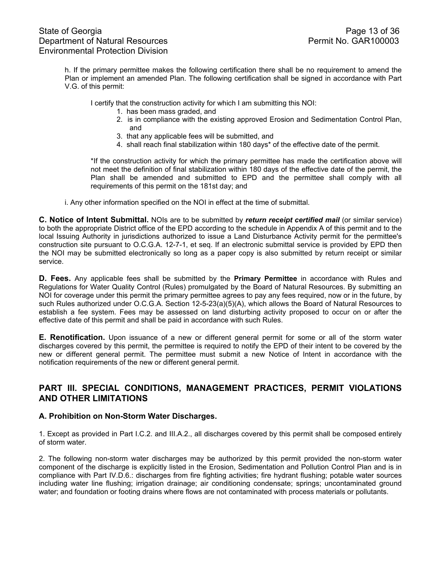h. If the primary permittee makes the following certification there shall be no requirement to amend the Plan or implement an amended Plan. The following certification shall be signed in accordance with Part V.G. of this permit:

I certify that the construction activity for which I am submitting this NOI:

- 1. has been mass graded, and
- 2. is in compliance with the existing approved Erosion and Sedimentation Control Plan, and
- 3. that any applicable fees will be submitted, and
- 4. shall reach final stabilization within 180 days\* of the effective date of the permit.

\*If the construction activity for which the primary permittee has made the certification above will not meet the definition of final stabilization within 180 days of the effective date of the permit, the Plan shall be amended and submitted to EPD and the permittee shall comply with all requirements of this permit on the 181st day; and

i. Any other information specified on the NOI in effect at the time of submittal.

**C. Notice of Intent Submittal.** NOIs are to be submitted by *return receipt certified mail* (or similar service) to both the appropriate District office of the EPD according to the schedule in Appendix A of this permit and to the local Issuing Authority in jurisdictions authorized to issue a Land Disturbance Activity permit for the permittee's construction site pursuant to O.C.G.A. 12-7-1, et seq. If an electronic submittal service is provided by EPD then the NOI may be submitted electronically so long as a paper copy is also submitted by return receipt or similar service.

**D. Fees.** Any applicable fees shall be submitted by the **Primary Permittee** in accordance with Rules and Regulations for Water Quality Control (Rules) promulgated by the Board of Natural Resources. By submitting an NOI for coverage under this permit the primary permittee agrees to pay any fees required, now or in the future, by such Rules authorized under O.C.G.A. Section 12-5-23(a)(5)(A), which allows the Board of Natural Resources to establish a fee system. Fees may be assessed on land disturbing activity proposed to occur on or after the effective date of this permit and shall be paid in accordance with such Rules.

**E. Renotification.** Upon issuance of a new or different general permit for some or all of the storm water discharges covered by this permit, the permittee is required to notify the EPD of their intent to be covered by the new or different general permit. The permittee must submit a new Notice of Intent in accordance with the notification requirements of the new or different general permit.

# **PART III. SPECIAL CONDITIONS, MANAGEMENT PRACTICES, PERMIT VIOLATIONS AND OTHER LIMITATIONS**

## **A. Prohibition on Non-Storm Water Discharges.**

1. Except as provided in Part I.C.2. and III.A.2., all discharges covered by this permit shall be composed entirely of storm water.

2. The following non-storm water discharges may be authorized by this permit provided the non-storm water component of the discharge is explicitly listed in the Erosion, Sedimentation and Pollution Control Plan and is in compliance with Part IV.D.6.: discharges from fire fighting activities; fire hydrant flushing; potable water sources including water line flushing; irrigation drainage; air conditioning condensate; springs; uncontaminated ground water; and foundation or footing drains where flows are not contaminated with process materials or pollutants.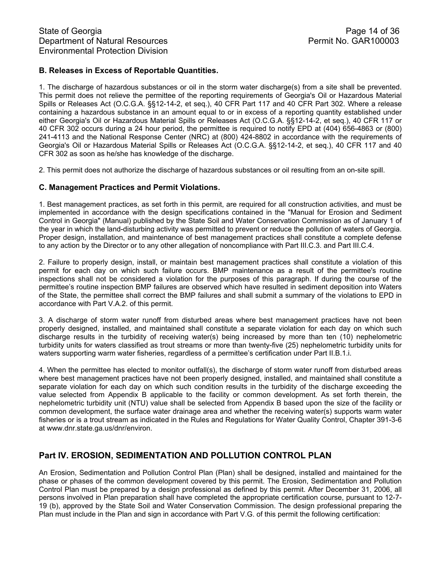# **B. Releases in Excess of Reportable Quantities.**

1. The discharge of hazardous substances or oil in the storm water discharge(s) from a site shall be prevented. This permit does not relieve the permittee of the reporting requirements of Georgia's Oil or Hazardous Material Spills or Releases Act (O.C.G.A. §§12-14-2, et seq.), 40 CFR Part 117 and 40 CFR Part 302. Where a release containing a hazardous substance in an amount equal to or in excess of a reporting quantity established under either Georgia's Oil or Hazardous Material Spills or Releases Act (O.C.G.A. §§12-14-2, et seq.), 40 CFR 117 or 40 CFR 302 occurs during a 24 hour period, the permittee is required to notify EPD at (404) 656-4863 or (800) 241-4113 and the National Response Center (NRC) at (800) 424-8802 in accordance with the requirements of Georgia's Oil or Hazardous Material Spills or Releases Act (O.C.G.A. §§12-14-2, et seq.), 40 CFR 117 and 40 CFR 302 as soon as he/she has knowledge of the discharge.

2. This permit does not authorize the discharge of hazardous substances or oil resulting from an on-site spill.

# **C. Management Practices and Permit Violations.**

1. Best management practices, as set forth in this permit, are required for all construction activities, and must be implemented in accordance with the design specifications contained in the "Manual for Erosion and Sediment Control in Georgia" (Manual) published by the State Soil and Water Conservation Commission as of January 1 of the year in which the land-disturbing activity was permitted to prevent or reduce the pollution of waters of Georgia. Proper design, installation, and maintenance of best management practices shall constitute a complete defense to any action by the Director or to any other allegation of noncompliance with Part III.C.3. and Part III.C.4.

2. Failure to properly design, install, or maintain best management practices shall constitute a violation of this permit for each day on which such failure occurs. BMP maintenance as a result of the permittee's routine inspections shall not be considered a violation for the purposes of this paragraph. If during the course of the permittee's routine inspection BMP failures are observed which have resulted in sediment deposition into Waters of the State, the permittee shall correct the BMP failures and shall submit a summary of the violations to EPD in accordance with Part V.A.2. of this permit.

3. A discharge of storm water runoff from disturbed areas where best management practices have not been properly designed, installed, and maintained shall constitute a separate violation for each day on which such discharge results in the turbidity of receiving water(s) being increased by more than ten (10) nephelometric turbidity units for waters classified as trout streams or more than twenty-five (25) nephelometric turbidity units for waters supporting warm water fisheries, regardless of a permittee's certification under Part II.B.1.i.

4. When the permittee has elected to monitor outfall(s), the discharge of storm water runoff from disturbed areas where best management practices have not been properly designed, installed, and maintained shall constitute a separate violation for each day on which such condition results in the turbidity of the discharge exceeding the value selected from Appendix B applicable to the facility or common development. As set forth therein, the nephelometric turbidity unit (NTU) value shall be selected from Appendix B based upon the size of the facility or common development, the surface water drainage area and whether the receiving water(s) supports warm water fisheries or is a trout stream as indicated in the Rules and Regulations for Water Quality Control, Chapter 391-3-6 at www.dnr.state.ga.us/dnr/environ.

# **Part IV. EROSION, SEDIMENTATION AND POLLUTION CONTROL PLAN**

An Erosion, Sedimentation and Pollution Control Plan (Plan) shall be designed, installed and maintained for the phase or phases of the common development covered by this permit. The Erosion, Sedimentation and Pollution Control Plan must be prepared by a design professional as defined by this permit. After December 31, 2006, all persons involved in Plan preparation shall have completed the appropriate certification course, pursuant to 12-7- 19 (b), approved by the State Soil and Water Conservation Commission. The design professional preparing the Plan must include in the Plan and sign in accordance with Part V.G. of this permit the following certification: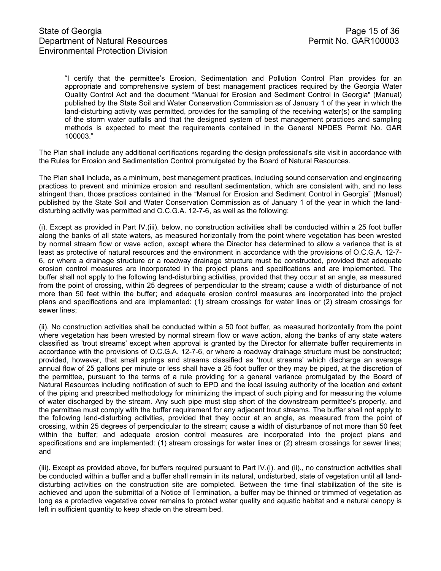"I certify that the permittee's Erosion, Sedimentation and Pollution Control Plan provides for an appropriate and comprehensive system of best management practices required by the Georgia Water Quality Control Act and the document "Manual for Erosion and Sediment Control in Georgia" (Manual) published by the State Soil and Water Conservation Commission as of January 1 of the year in which the land-disturbing activity was permitted, provides for the sampling of the receiving water(s) or the sampling of the storm water outfalls and that the designed system of best management practices and sampling methods is expected to meet the requirements contained in the General NPDES Permit No. GAR 100003."

The Plan shall include any additional certifications regarding the design professional's site visit in accordance with the Rules for Erosion and Sedimentation Control promulgated by the Board of Natural Resources.

The Plan shall include, as a minimum, best management practices, including sound conservation and engineering practices to prevent and minimize erosion and resultant sedimentation, which are consistent with, and no less stringent than, those practices contained in the "Manual for Erosion and Sediment Control in Georgia" (Manual) published by the State Soil and Water Conservation Commission as of January 1 of the year in which the landdisturbing activity was permitted and O.C.G.A. 12-7-6, as well as the following:

(i). Except as provided in Part IV.(iii). below, no construction activities shall be conducted within a 25 foot buffer along the banks of all state waters, as measured horizontally from the point where vegetation has been wrested by normal stream flow or wave action, except where the Director has determined to allow a variance that is at least as protective of natural resources and the environment in accordance with the provisions of O.C.G.A. 12-7- 6, or where a drainage structure or a roadway drainage structure must be constructed, provided that adequate erosion control measures are incorporated in the project plans and specifications and are implemented. The buffer shall not apply to the following land-disturbing activities, provided that they occur at an angle, as measured from the point of crossing, within 25 degrees of perpendicular to the stream; cause a width of disturbance of not more than 50 feet within the buffer; and adequate erosion control measures are incorporated into the project plans and specifications and are implemented: (1) stream crossings for water lines or (2) stream crossings for sewer lines;

(ii). No construction activities shall be conducted within a 50 foot buffer, as measured horizontally from the point where vegetation has been wrested by normal stream flow or wave action, along the banks of any state waters classified as 'trout streams' except when approval is granted by the Director for alternate buffer requirements in accordance with the provisions of O.C.G.A. 12-7-6, or where a roadway drainage structure must be constructed; provided, however, that small springs and streams classified as 'trout streams' which discharge an average annual flow of 25 gallons per minute or less shall have a 25 foot buffer or they may be piped, at the discretion of the permittee, pursuant to the terms of a rule providing for a general variance promulgated by the Board of Natural Resources including notification of such to EPD and the local issuing authority of the location and extent of the piping and prescribed methodology for minimizing the impact of such piping and for measuring the volume of water discharged by the stream. Any such pipe must stop short of the downstream permittee's property, and the permittee must comply with the buffer requirement for any adjacent trout streams. The buffer shall not apply to the following land-disturbing activities, provided that they occur at an angle, as measured from the point of crossing, within 25 degrees of perpendicular to the stream; cause a width of disturbance of not more than 50 feet within the buffer; and adequate erosion control measures are incorporated into the project plans and specifications and are implemented: (1) stream crossings for water lines or (2) stream crossings for sewer lines; and

(iii). Except as provided above, for buffers required pursuant to Part IV.(i). and (ii)., no construction activities shall be conducted within a buffer and a buffer shall remain in its natural, undisturbed, state of vegetation until all landdisturbing activities on the construction site are completed. Between the time final stabilization of the site is achieved and upon the submittal of a Notice of Termination, a buffer may be thinned or trimmed of vegetation as long as a protective vegetative cover remains to protect water quality and aquatic habitat and a natural canopy is left in sufficient quantity to keep shade on the stream bed.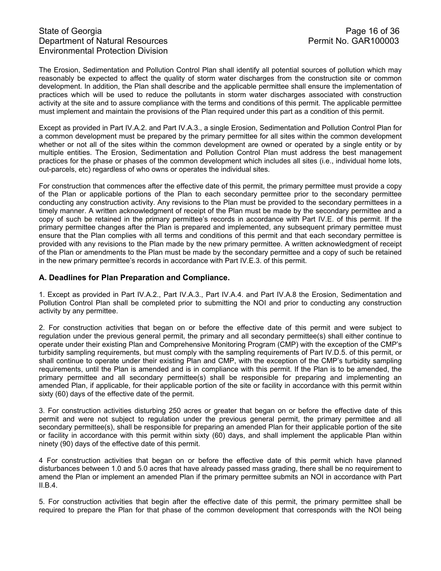# State of Georgia Page 16 of 36<br>Department of Natural Resources Permit No. GAR100003 Department of Natural Resources Environmental Protection Division

The Erosion, Sedimentation and Pollution Control Plan shall identify all potential sources of pollution which may reasonably be expected to affect the quality of storm water discharges from the construction site or common development. In addition, the Plan shall describe and the applicable permittee shall ensure the implementation of practices which will be used to reduce the pollutants in storm water discharges associated with construction activity at the site and to assure compliance with the terms and conditions of this permit. The applicable permittee must implement and maintain the provisions of the Plan required under this part as a condition of this permit.

Except as provided in Part IV.A.2. and Part IV.A.3., a single Erosion, Sedimentation and Pollution Control Plan for a common development must be prepared by the primary permittee for all sites within the common development whether or not all of the sites within the common development are owned or operated by a single entity or by multiple entities. The Erosion, Sedimentation and Pollution Control Plan must address the best management practices for the phase or phases of the common development which includes all sites (i.e., individual home lots, out-parcels, etc) regardless of who owns or operates the individual sites.

For construction that commences after the effective date of this permit, the primary permittee must provide a copy of the Plan or applicable portions of the Plan to each secondary permittee prior to the secondary permittee conducting any construction activity. Any revisions to the Plan must be provided to the secondary permittees in a timely manner. A written acknowledgment of receipt of the Plan must be made by the secondary permittee and a copy of such be retained in the primary permittee's records in accordance with Part IV.E. of this permit. If the primary permittee changes after the Plan is prepared and implemented, any subsequent primary permittee must ensure that the Plan complies with all terms and conditions of this permit and that each secondary permittee is provided with any revisions to the Plan made by the new primary permittee. A written acknowledgment of receipt of the Plan or amendments to the Plan must be made by the secondary permittee and a copy of such be retained in the new primary permittee's records in accordance with Part IV.E.3. of this permit.

## **A. Deadlines for Plan Preparation and Compliance.**

1. Except as provided in Part IV.A.2., Part IV.A.3., Part IV.A.4. and Part IV.A.8 the Erosion, Sedimentation and Pollution Control Plan shall be completed prior to submitting the NOI and prior to conducting any construction activity by any permittee.

2. For construction activities that began on or before the effective date of this permit and were subject to regulation under the previous general permit, the primary and all secondary permittee(s) shall either continue to operate under their existing Plan and Comprehensive Monitoring Program (CMP) with the exception of the CMP's turbidity sampling requirements, but must comply with the sampling requirements of Part IV.D.5. of this permit, or shall continue to operate under their existing Plan and CMP, with the exception of the CMP's turbidity sampling requirements, until the Plan is amended and is in compliance with this permit. If the Plan is to be amended, the primary permittee and all secondary permittee(s) shall be responsible for preparing and implementing an amended Plan, if applicable, for their applicable portion of the site or facility in accordance with this permit within sixty (60) days of the effective date of the permit.

3. For construction activities disturbing 250 acres or greater that began on or before the effective date of this permit and were not subject to regulation under the previous general permit, the primary permittee and all secondary permittee(s), shall be responsible for preparing an amended Plan for their applicable portion of the site or facility in accordance with this permit within sixty (60) days, and shall implement the applicable Plan within ninety (90) days of the effective date of this permit.

4 For construction activities that began on or before the effective date of this permit which have planned disturbances between 1.0 and 5.0 acres that have already passed mass grading, there shall be no requirement to amend the Plan or implement an amended Plan if the primary permittee submits an NOI in accordance with Part II.B.4.

5. For construction activities that begin after the effective date of this permit, the primary permittee shall be required to prepare the Plan for that phase of the common development that corresponds with the NOI being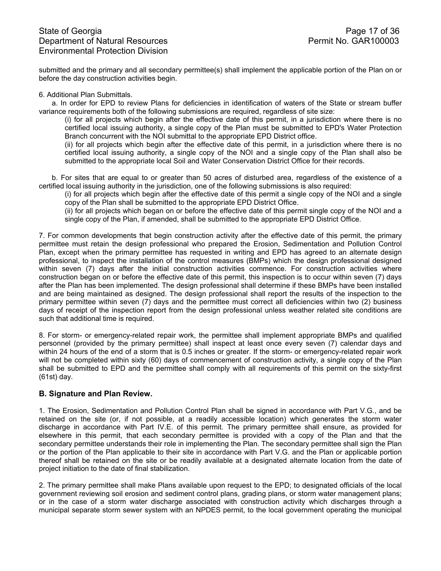submitted and the primary and all secondary permittee(s) shall implement the applicable portion of the Plan on or before the day construction activities begin.

#### 6. Additional Plan Submittals.

a. In order for EPD to review Plans for deficiencies in identification of waters of the State or stream buffer variance requirements both of the following submissions are required, regardless of site size:

(i) for all projects which begin after the effective date of this permit, in a jurisdiction where there is no certified local issuing authority, a single copy of the Plan must be submitted to EPD's Water Protection Branch concurrent with the NOI submittal to the appropriate EPD District office.

(ii) for all projects which begin after the effective date of this permit, in a jurisdiction where there is no certified local issuing authority, a single copy of the NOI and a single copy of the Plan shall also be submitted to the appropriate local Soil and Water Conservation District Office for their records.

b. For sites that are equal to or greater than 50 acres of disturbed area, regardless of the existence of a certified local issuing authority in the jurisdiction, one of the following submissions is also required:

(i) for all projects which begin after the effective date of this permit a single copy of the NOI and a single copy of the Plan shall be submitted to the appropriate EPD District Office.

(ii) for all projects which began on or before the effective date of this permit single copy of the NOI and a single copy of the Plan, if amended, shall be submitted to the appropriate EPD District Office.

7. For common developments that begin construction activity after the effective date of this permit, the primary permittee must retain the design professional who prepared the Erosion, Sedimentation and Pollution Control Plan, except when the primary permittee has requested in writing and EPD has agreed to an alternate design professional, to inspect the installation of the control measures (BMPs) which the design professional designed within seven (7) days after the initial construction activities commence. For construction activities where construction began on or before the effective date of this permit, this inspection is to occur within seven (7) days after the Plan has been implemented. The design professional shall determine if these BMPs have been installed and are being maintained as designed. The design professional shall report the results of the inspection to the primary permittee within seven (7) days and the permittee must correct all deficiencies within two (2) business days of receipt of the inspection report from the design professional unless weather related site conditions are such that additional time is required.

8. For storm- or emergency-related repair work, the permittee shall implement appropriate BMPs and qualified personnel (provided by the primary permittee) shall inspect at least once every seven (7) calendar days and within 24 hours of the end of a storm that is 0.5 inches or greater. If the storm- or emergency-related repair work will not be completed within sixty (60) days of commencement of construction activity, a single copy of the Plan shall be submitted to EPD and the permittee shall comply with all requirements of this permit on the sixty-first (61st) day.

## **B. Signature and Plan Review.**

1. The Erosion, Sedimentation and Pollution Control Plan shall be signed in accordance with Part V.G., and be retained on the site (or, if not possible, at a readily accessible location) which generates the storm water discharge in accordance with Part IV.E. of this permit. The primary permittee shall ensure, as provided for elsewhere in this permit, that each secondary permittee is provided with a copy of the Plan and that the secondary permittee understands their role in implementing the Plan. The secondary permittee shall sign the Plan or the portion of the Plan applicable to their site in accordance with Part V.G. and the Plan or applicable portion thereof shall be retained on the site or be readily available at a designated alternate location from the date of project initiation to the date of final stabilization.

2. The primary permittee shall make Plans available upon request to the EPD; to designated officials of the local government reviewing soil erosion and sediment control plans, grading plans, or storm water management plans; or in the case of a storm water discharge associated with construction activity which discharges through a municipal separate storm sewer system with an NPDES permit, to the local government operating the municipal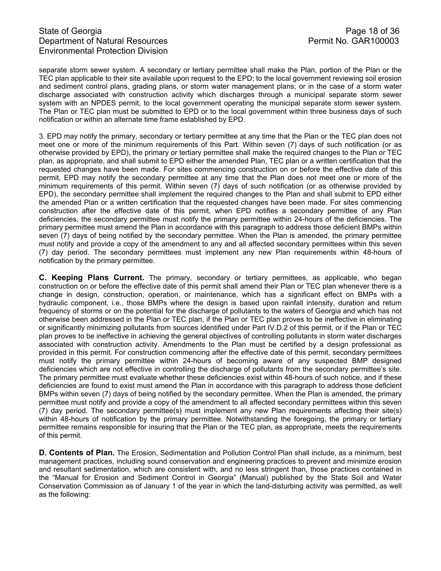# State of Georgia **Page 18 of 36** Department of Natural Resources **Permit No. GAR100003** Environmental Protection Division

separate storm sewer system. A secondary or tertiary permittee shall make the Plan, portion of the Plan or the TEC plan applicable to their site available upon request to the EPD; to the local government reviewing soil erosion and sediment control plans, grading plans, or storm water management plans; or in the case of a storm water discharge associated with construction activity which discharges through a municipal separate storm sewer system with an NPDES permit, to the local government operating the municipal separate storm sewer system. The Plan or TEC plan must be submitted to EPD or to the local government within three business days of such notification or within an alternate time frame established by EPD.

3. EPD may notify the primary, secondary or tertiary permittee at any time that the Plan or the TEC plan does not meet one or more of the minimum requirements of this Part. Within seven (7) days of such notification (or as otherwise provided by EPD), the primary or tertiary permittee shall make the required changes to the Plan or TEC plan, as appropriate, and shall submit to EPD either the amended Plan, TEC plan or a written certification that the requested changes have been made. For sites commencing construction on or before the effective date of this permit, EPD may notify the secondary permittee at any time that the Plan does not meet one or more of the minimum requirements of this permit. Within seven (7) days of such notification (or as otherwise provided by EPD), the secondary permittee shall implement the required changes to the Plan and shall submit to EPD either the amended Plan or a written certification that the requested changes have been made. For sites commencing construction after the effective date of this permit, when EPD notifies a secondary permittee of any Plan deficiencies, the secondary permittee must notify the primary permittee within 24-hours of the deficiencies. The primary permittee must amend the Plan in accordance with this paragraph to address those deficient BMPs within seven (7) days of being notified by the secondary permittee. When the Plan is amended, the primary permittee must notify and provide a copy of the amendment to any and all affected secondary permittees within this seven (7) day period. The secondary permittees must implement any new Plan requirements within 48-hours of notification by the primary permittee.

**C. Keeping Plans Current.** The primary, secondary or tertiary permittees, as applicable, who began construction on or before the effective date of this permit shall amend their Plan or TEC plan whenever there is a change in design, construction, operation, or maintenance, which has a significant effect on BMPs with a hydraulic component, i.e., those BMPs where the design is based upon rainfall intensity, duration and return frequency of storms or on the potential for the discharge of pollutants to the waters of Georgia and which has not otherwise been addressed in the Plan or TEC plan, if the Plan or TEC plan proves to be ineffective in eliminating or significantly minimizing pollutants from sources identified under Part IV.D.2 of this permit, or if the Plan or TEC plan proves to be ineffective in achieving the general objectives of controlling pollutants in storm water discharges associated with construction activity. Amendments to the Plan must be certified by a design professional as provided in this permit. For construction commencing after the effective date of this permit, secondary permittees must notify the primary permittee within 24-hours of becoming aware of any suspected BMP designed deficiencies which are not effective in controlling the discharge of pollutants from the secondary permittee's site. The primary permittee must evaluate whether these deficiencies exist within 48-hours of such notice, and if these deficiencies are found to exist must amend the Plan in accordance with this paragraph to address those deficient BMPs within seven (7) days of being notified by the secondary permittee. When the Plan is amended, the primary permittee must notify and provide a copy of the amendment to all affected secondary permittees within this seven (7) day period. The secondary permittee(s) must implement any new Plan requirements affecting their site(s) within 48-hours of notification by the primary permittee. Notwithstanding the foregoing, the primary or tertiary permittee remains responsible for insuring that the Plan or the TEC plan, as appropriate, meets the requirements of this permit.

**D. Contents of Plan.** The Erosion, Sedimentation and Pollution Control Plan shall include, as a minimum, best management practices, including sound conservation and engineering practices to prevent and minimize erosion and resultant sedimentation, which are consistent with, and no less stringent than, those practices contained in the "Manual for Erosion and Sediment Control in Georgia" (Manual) published by the State Soil and Water Conservation Commission as of January 1 of the year in which the land-disturbing activity was permitted, as well as the following: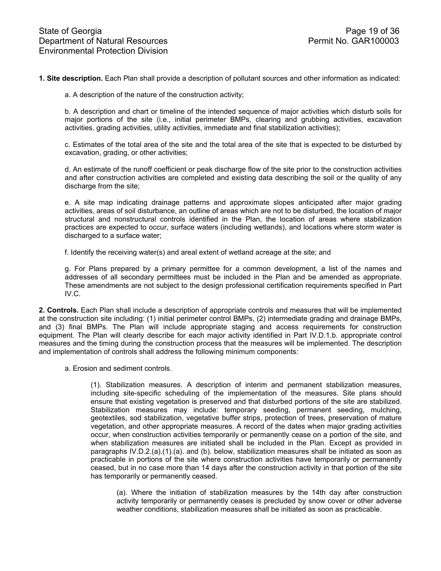**1. Site description.** Each Plan shall provide a description of pollutant sources and other information as indicated:

a. A description of the nature of the construction activity;

b. A description and chart or timeline of the intended sequence of major activities which disturb soils for major portions of the site (i.e., initial perimeter BMPs, clearing and grubbing activities, excavation activities, grading activities, utility activities, immediate and final stabilization activities);

c. Estimates of the total area of the site and the total area of the site that is expected to be disturbed by excavation, grading, or other activities;

d. An estimate of the runoff coefficient or peak discharge flow of the site prior to the construction activities and after construction activities are completed and existing data describing the soil or the quality of any discharge from the site;

e. A site map indicating drainage patterns and approximate slopes anticipated after major grading activities, areas of soil disturbance, an outline of areas which are not to be disturbed, the location of major structural and nonstructural controls identified in the Plan, the location of areas where stabilization practices are expected to occur, surface waters (including wetlands), and locations where storm water is discharged to a surface water;

f. Identify the receiving water(s) and areal extent of wetland acreage at the site; and

g. For Plans prepared by a primary permittee for a common development, a list of the names and addresses of all secondary permittees must be included in the Plan and be amended as appropriate. These amendments are not subject to the design professional certification requirements specified in Part IV.C.

**2. Controls.** Each Plan shall include a description of appropriate controls and measures that will be implemented at the construction site including: (1) initial perimeter control BMPs, (2) intermediate grading and drainage BMPs, and (3) final BMPs. The Plan will include appropriate staging and access requirements for construction equipment. The Plan will clearly describe for each major activity identified in Part IV.D.1.b. appropriate control measures and the timing during the construction process that the measures will be implemented. The description and implementation of controls shall address the following minimum components:

a. Erosion and sediment controls.

(1). Stabilization measures. A description of interim and permanent stabilization measures, including site-specific scheduling of the implementation of the measures. Site plans should ensure that existing vegetation is preserved and that disturbed portions of the site are stabilized. Stabilization measures may include: temporary seeding, permanent seeding, mulching, geotextiles, sod stabilization, vegetative buffer strips, protection of trees, preservation of mature vegetation, and other appropriate measures. A record of the dates when major grading activities occur, when construction activities temporarily or permanently cease on a portion of the site, and when stabilization measures are initiated shall be included in the Plan. Except as provided in paragraphs IV.D.2.(a).(1).(a). and (b). below, stabilization measures shall be initiated as soon as practicable in portions of the site where construction activities have temporarily or permanently ceased, but in no case more than 14 days after the construction activity in that portion of the site has temporarily or permanently ceased.

(a). Where the initiation of stabilization measures by the 14th day after construction activity temporarily or permanently ceases is precluded by snow cover or other adverse weather conditions, stabilization measures shall be initiated as soon as practicable.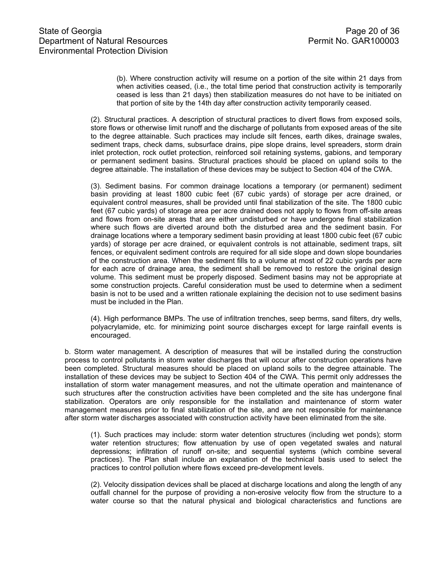(b). Where construction activity will resume on a portion of the site within 21 days from when activities ceased, (i.e., the total time period that construction activity is temporarily ceased is less than 21 days) then stabilization measures do not have to be initiated on that portion of site by the 14th day after construction activity temporarily ceased.

(2). Structural practices. A description of structural practices to divert flows from exposed soils, store flows or otherwise limit runoff and the discharge of pollutants from exposed areas of the site to the degree attainable. Such practices may include silt fences, earth dikes, drainage swales, sediment traps, check dams, subsurface drains, pipe slope drains, level spreaders, storm drain inlet protection, rock outlet protection, reinforced soil retaining systems, gabions, and temporary or permanent sediment basins. Structural practices should be placed on upland soils to the degree attainable. The installation of these devices may be subject to Section 404 of the CWA.

(3). Sediment basins. For common drainage locations a temporary (or permanent) sediment basin providing at least 1800 cubic feet (67 cubic yards) of storage per acre drained, or equivalent control measures, shall be provided until final stabilization of the site. The 1800 cubic feet (67 cubic yards) of storage area per acre drained does not apply to flows from off-site areas and flows from on-site areas that are either undisturbed or have undergone final stabilization where such flows are diverted around both the disturbed area and the sediment basin. For drainage locations where a temporary sediment basin providing at least 1800 cubic feet (67 cubic yards) of storage per acre drained, or equivalent controls is not attainable, sediment traps, silt fences, or equivalent sediment controls are required for all side slope and down slope boundaries of the construction area. When the sediment fills to a volume at most of 22 cubic yards per acre for each acre of drainage area, the sediment shall be removed to restore the original design volume. This sediment must be properly disposed. Sediment basins may not be appropriate at some construction projects. Careful consideration must be used to determine when a sediment basin is not to be used and a written rationale explaining the decision not to use sediment basins must be included in the Plan.

(4). High performance BMPs. The use of infiltration trenches, seep berms, sand filters, dry wells, polyacrylamide, etc. for minimizing point source discharges except for large rainfall events is encouraged.

b. Storm water management. A description of measures that will be installed during the construction process to control pollutants in storm water discharges that will occur after construction operations have been completed. Structural measures should be placed on upland soils to the degree attainable. The installation of these devices may be subject to Section 404 of the CWA. This permit only addresses the installation of storm water management measures, and not the ultimate operation and maintenance of such structures after the construction activities have been completed and the site has undergone final stabilization. Operators are only responsible for the installation and maintenance of storm water management measures prior to final stabilization of the site, and are not responsible for maintenance after storm water discharges associated with construction activity have been eliminated from the site.

(1). Such practices may include: storm water detention structures (including wet ponds); storm water retention structures; flow attenuation by use of open vegetated swales and natural depressions; infiltration of runoff on-site; and sequential systems (which combine several practices). The Plan shall include an explanation of the technical basis used to select the practices to control pollution where flows exceed pre-development levels.

(2). Velocity dissipation devices shall be placed at discharge locations and along the length of any outfall channel for the purpose of providing a non-erosive velocity flow from the structure to a water course so that the natural physical and biological characteristics and functions are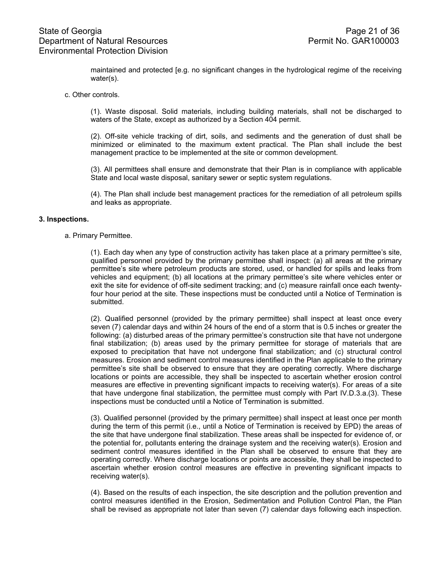maintained and protected [e.g. no significant changes in the hydrological regime of the receiving water(s).

#### c. Other controls.

(1). Waste disposal. Solid materials, including building materials, shall not be discharged to waters of the State, except as authorized by a Section 404 permit.

(2). Off-site vehicle tracking of dirt, soils, and sediments and the generation of dust shall be minimized or eliminated to the maximum extent practical. The Plan shall include the best management practice to be implemented at the site or common development.

(3). All permittees shall ensure and demonstrate that their Plan is in compliance with applicable State and local waste disposal, sanitary sewer or septic system regulations.

(4). The Plan shall include best management practices for the remediation of all petroleum spills and leaks as appropriate.

#### **3. Inspections.**

#### a. Primary Permittee.

(1). Each day when any type of construction activity has taken place at a primary permittee's site, qualified personnel provided by the primary permittee shall inspect: (a) all areas at the primary permittee's site where petroleum products are stored, used, or handled for spills and leaks from vehicles and equipment; (b) all locations at the primary permittee's site where vehicles enter or exit the site for evidence of off-site sediment tracking; and (c) measure rainfall once each twentyfour hour period at the site. These inspections must be conducted until a Notice of Termination is submitted.

(2). Qualified personnel (provided by the primary permittee) shall inspect at least once every seven (7) calendar days and within 24 hours of the end of a storm that is 0.5 inches or greater the following: (a) disturbed areas of the primary permittee's construction site that have not undergone final stabilization; (b) areas used by the primary permittee for storage of materials that are exposed to precipitation that have not undergone final stabilization; and (c) structural control measures. Erosion and sediment control measures identified in the Plan applicable to the primary permittee's site shall be observed to ensure that they are operating correctly. Where discharge locations or points are accessible, they shall be inspected to ascertain whether erosion control measures are effective in preventing significant impacts to receiving water(s). For areas of a site that have undergone final stabilization, the permittee must comply with Part IV.D.3.a.(3). These inspections must be conducted until a Notice of Termination is submitted.

(3). Qualified personnel (provided by the primary permittee) shall inspect at least once per month during the term of this permit (i.e., until a Notice of Termination is received by EPD) the areas of the site that have undergone final stabilization. These areas shall be inspected for evidence of, or the potential for, pollutants entering the drainage system and the receiving water(s). Erosion and sediment control measures identified in the Plan shall be observed to ensure that they are operating correctly. Where discharge locations or points are accessible, they shall be inspected to ascertain whether erosion control measures are effective in preventing significant impacts to receiving water(s).

(4). Based on the results of each inspection, the site description and the pollution prevention and control measures identified in the Erosion, Sedimentation and Pollution Control Plan, the Plan shall be revised as appropriate not later than seven (7) calendar days following each inspection.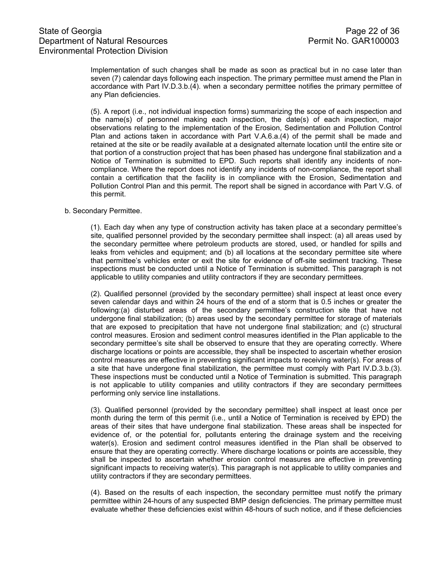Implementation of such changes shall be made as soon as practical but in no case later than seven (7) calendar days following each inspection. The primary permittee must amend the Plan in accordance with Part IV.D.3.b.(4). when a secondary permittee notifies the primary permittee of any Plan deficiencies.

(5). A report (i.e., not individual inspection forms) summarizing the scope of each inspection and the name(s) of personnel making each inspection, the date(s) of each inspection, major observations relating to the implementation of the Erosion, Sedimentation and Pollution Control Plan and actions taken in accordance with Part V.A.6.a.(4) of the permit shall be made and retained at the site or be readily available at a designated alternate location until the entire site or that portion of a construction project that has been phased has undergone final stabilization and a Notice of Termination is submitted to EPD. Such reports shall identify any incidents of noncompliance. Where the report does not identify any incidents of non-compliance, the report shall contain a certification that the facility is in compliance with the Erosion, Sedimentation and Pollution Control Plan and this permit. The report shall be signed in accordance with Part V.G. of this permit.

#### b. Secondary Permittee.

(1). Each day when any type of construction activity has taken place at a secondary permittee's site, qualified personnel provided by the secondary permittee shall inspect: (a) all areas used by the secondary permittee where petroleum products are stored, used, or handled for spills and leaks from vehicles and equipment; and (b) all locations at the secondary permittee site where that permittee's vehicles enter or exit the site for evidence of off-site sediment tracking. These inspections must be conducted until a Notice of Termination is submitted. This paragraph is not applicable to utility companies and utility contractors if they are secondary permittees.

(2). Qualified personnel (provided by the secondary permittee) shall inspect at least once every seven calendar days and within 24 hours of the end of a storm that is 0.5 inches or greater the following:(a) disturbed areas of the secondary permittee's construction site that have not undergone final stabilization; (b) areas used by the secondary permittee for storage of materials that are exposed to precipitation that have not undergone final stabilization; and (c) structural control measures. Erosion and sediment control measures identified in the Plan applicable to the secondary permittee's site shall be observed to ensure that they are operating correctly. Where discharge locations or points are accessible, they shall be inspected to ascertain whether erosion control measures are effective in preventing significant impacts to receiving water(s). For areas of a site that have undergone final stabilization, the permittee must comply with Part IV.D.3.b.(3). These inspections must be conducted until a Notice of Termination is submitted. This paragraph is not applicable to utility companies and utility contractors if they are secondary permittees performing only service line installations.

(3). Qualified personnel (provided by the secondary permittee) shall inspect at least once per month during the term of this permit (i.e., until a Notice of Termination is received by EPD) the areas of their sites that have undergone final stabilization. These areas shall be inspected for evidence of, or the potential for, pollutants entering the drainage system and the receiving water(s). Erosion and sediment control measures identified in the Plan shall be observed to ensure that they are operating correctly. Where discharge locations or points are accessible, they shall be inspected to ascertain whether erosion control measures are effective in preventing significant impacts to receiving water(s). This paragraph is not applicable to utility companies and utility contractors if they are secondary permittees.

(4). Based on the results of each inspection, the secondary permittee must notify the primary permittee within 24-hours of any suspected BMP design deficiencies. The primary permittee must evaluate whether these deficiencies exist within 48-hours of such notice, and if these deficiencies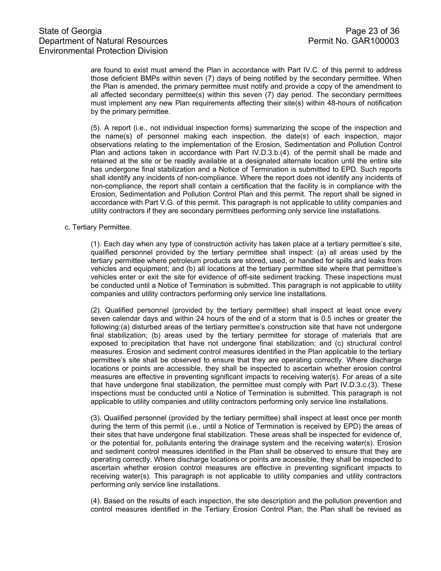are found to exist must amend the Plan in accordance with Part IV.C. of this permit to address those deficient BMPs within seven (7) days of being notified by the secondary permittee. When the Plan is amended, the primary permittee must notify and provide a copy of the amendment to all affected secondary permittee(s) within this seven (7) day period. The secondary permittees must implement any new Plan requirements affecting their site(s) within 48-hours of notification by the primary permittee.

(5). A report (i.e., not individual inspection forms) summarizing the scope of the inspection and the name(s) of personnel making each inspection, the date(s) of each inspection, major observations relating to the implementation of the Erosion, Sedimentation and Pollution Control Plan and actions taken in accordance with Part IV.D.3.b.(4). of the permit shall be made and retained at the site or be readily available at a designated alternate location until the entire site has undergone final stabilization and a Notice of Termination is submitted to EPD. Such reports shall identify any incidents of non-compliance. Where the report does not identify any incidents of non-compliance, the report shall contain a certification that the facility is in compliance with the Erosion, Sedimentation and Pollution Control Plan and this permit. The report shall be signed in accordance with Part V.G. of this permit. This paragraph is not applicable to utility companies and utility contractors if they are secondary permittees performing only service line installations.

#### c. Tertiary Permittee.

(1). Each day when any type of construction activity has taken place at a tertiary permittee's site, qualified personnel provided by the tertiary permittee shall inspect: (a) all areas used by the tertiary permittee where petroleum products are stored, used, or handled for spills and leaks from vehicles and equipment; and (b) all locations at the tertiary permittee site where that permittee's vehicles enter or exit the site for evidence of off-site sediment tracking. These inspections must be conducted until a Notice of Termination is submitted. This paragraph is not applicable to utility companies and utility contractors performing only service line installations.

(2). Qualified personnel (provided by the tertiary permittee) shall inspect at least once every seven calendar days and within 24 hours of the end of a storm that is 0.5 inches or greater the following:(a) disturbed areas of the tertiary permittee's construction site that have not undergone final stabilization; (b) areas used by the tertiary permittee for storage of materials that are exposed to precipitation that have not undergone final stabilization; and (c) structural control measures. Erosion and sediment control measures identified in the Plan applicable to the tertiary permittee's site shall be observed to ensure that they are operating correctly. Where discharge locations or points are accessible, they shall be inspected to ascertain whether erosion control measures are effective in preventing significant impacts to receiving water(s). For areas of a site that have undergone final stabilization, the permittee must comply with Part IV.D.3.c.(3). These inspections must be conducted until a Notice of Termination is submitted. This paragraph is not applicable to utility companies and utility contractors performing only service line installations.

(3). Qualified personnel (provided by the tertiary permittee) shall inspect at least once per month during the term of this permit (i.e., until a Notice of Termination is received by EPD) the areas of their sites that have undergone final stabilization. These areas shall be inspected for evidence of, or the potential for, pollutants entering the drainage system and the receiving water(s). Erosion and sediment control measures identified in the Plan shall be observed to ensure that they are operating correctly. Where discharge locations or points are accessible, they shall be inspected to ascertain whether erosion control measures are effective in preventing significant impacts to receiving water(s). This paragraph is not applicable to utility companies and utility contractors performing only service line installations.

(4). Based on the results of each inspection, the site description and the pollution prevention and control measures identified in the Tertiary Erosion Control Plan, the Plan shall be revised as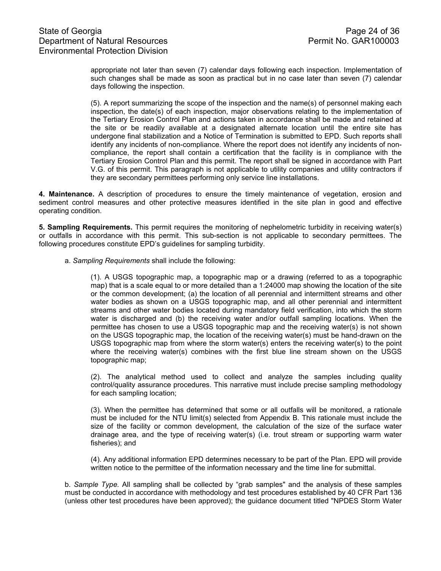appropriate not later than seven (7) calendar days following each inspection. Implementation of such changes shall be made as soon as practical but in no case later than seven (7) calendar days following the inspection.

(5). A report summarizing the scope of the inspection and the name(s) of personnel making each inspection, the date(s) of each inspection, major observations relating to the implementation of the Tertiary Erosion Control Plan and actions taken in accordance shall be made and retained at the site or be readily available at a designated alternate location until the entire site has undergone final stabilization and a Notice of Termination is submitted to EPD. Such reports shall identify any incidents of non-compliance. Where the report does not identify any incidents of noncompliance, the report shall contain a certification that the facility is in compliance with the Tertiary Erosion Control Plan and this permit. The report shall be signed in accordance with Part V.G. of this permit. This paragraph is not applicable to utility companies and utility contractors if they are secondary permittees performing only service line installations.

**4. Maintenance.** A description of procedures to ensure the timely maintenance of vegetation, erosion and sediment control measures and other protective measures identified in the site plan in good and effective operating condition.

**5. Sampling Requirements.** This permit requires the monitoring of nephelometric turbidity in receiving water(s) or outfalls in accordance with this permit. This sub-section is not applicable to secondary permittees. The following procedures constitute EPD's guidelines for sampling turbidity.

a. *Sampling Requirements* shall include the following:

(1). A USGS topographic map, a topographic map or a drawing (referred to as a topographic map) that is a scale equal to or more detailed than a 1:24000 map showing the location of the site or the common development; (a) the location of all perennial and intermittent streams and other water bodies as shown on a USGS topographic map, and all other perennial and intermittent streams and other water bodies located during mandatory field verification, into which the storm water is discharged and (b) the receiving water and/or outfall sampling locations. When the permittee has chosen to use a USGS topographic map and the receiving water(s) is not shown on the USGS topographic map, the location of the receiving water(s) must be hand-drawn on the USGS topographic map from where the storm water(s) enters the receiving water(s) to the point where the receiving water(s) combines with the first blue line stream shown on the USGS topographic map;

(2). The analytical method used to collect and analyze the samples including quality control/quality assurance procedures. This narrative must include precise sampling methodology for each sampling location;

(3). When the permittee has determined that some or all outfalls will be monitored, a rationale must be included for the NTU limit(s) selected from Appendix B. This rationale must include the size of the facility or common development, the calculation of the size of the surface water drainage area, and the type of receiving water(s) (i.e. trout stream or supporting warm water fisheries); and

(4). Any additional information EPD determines necessary to be part of the Plan. EPD will provide written notice to the permittee of the information necessary and the time line for submittal.

b. *Sample Type.* All sampling shall be collected by "grab samples" and the analysis of these samples must be conducted in accordance with methodology and test procedures established by 40 CFR Part 136 (unless other test procedures have been approved); the guidance document titled "NPDES Storm Water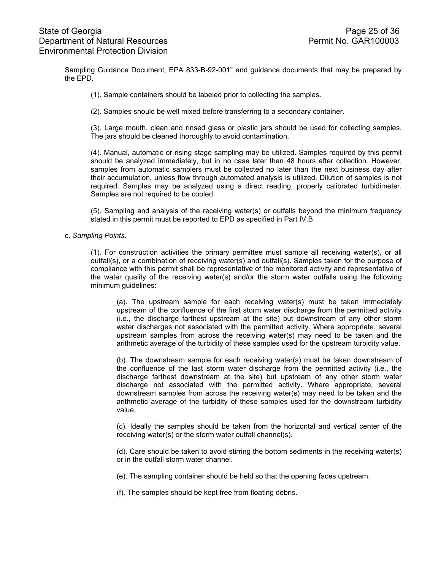Sampling Guidance Document, EPA 833-B-92-001" and guidance documents that may be prepared by the EPD.

- (1). Sample containers should be labeled prior to collecting the samples.
- (2). Samples should be well mixed before transferring to a secondary container.

(3). Large mouth, clean and rinsed glass or plastic jars should be used for collecting samples. The jars should be cleaned thoroughly to avoid contamination.

(4). Manual, automatic or rising stage sampling may be utilized. Samples required by this permit should be analyzed immediately, but in no case later than 48 hours after collection. However, samples from automatic samplers must be collected no later than the next business day after their accumulation, unless flow through automated analysis is utilized. Dilution of samples is not required. Samples may be analyzed using a direct reading, properly calibrated turbidimeter. Samples are not required to be cooled.

(5). Sampling and analysis of the receiving water(s) or outfalls beyond the minimum frequency stated in this permit must be reported to EPD as specified in Part IV.B.

#### c. *Sampling Points*.

(1). For construction activities the primary permittee must sample all receiving water(s), or all outfall(s), or a combination of receiving water(s) and outfall(s). Samples taken for the purpose of compliance with this permit shall be representative of the monitored activity and representative of the water quality of the receiving water(s) and/or the storm water outfalls using the following minimum guidelines:

(a). The upstream sample for each receiving water(s) must be taken immediately upstream of the confluence of the first storm water discharge from the permitted activity (i.e., the discharge farthest upstream at the site) but downstream of any other storm water discharges not associated with the permitted activity. Where appropriate, several upstream samples from across the receiving water(s) may need to be taken and the arithmetic average of the turbidity of these samples used for the upstream turbidity value.

(b). The downstream sample for each receiving water(s) must be taken downstream of the confluence of the last storm water discharge from the permitted activity (i.e., the discharge farthest downstream at the site) but upstream of any other storm water discharge not associated with the permitted activity. Where appropriate, several downstream samples from across the receiving water(s) may need to be taken and the arithmetic average of the turbidity of these samples used for the downstream turbidity value.

(c). Ideally the samples should be taken from the horizontal and vertical center of the receiving water(s) or the storm water outfall channel(s).

(d). Care should be taken to avoid stirring the bottom sediments in the receiving water(s) or in the outfall storm water channel.

(e). The sampling container should be held so that the opening faces upstream.

(f). The samples should be kept free from floating debris.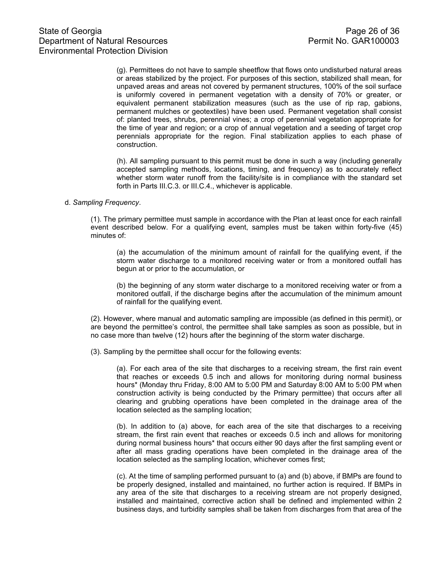(g). Permittees do not have to sample sheetflow that flows onto undisturbed natural areas or areas stabilized by the project. For purposes of this section, stabilized shall mean, for unpaved areas and areas not covered by permanent structures, 100% of the soil surface is uniformly covered in permanent vegetation with a density of 70% or greater, or equivalent permanent stabilization measures (such as the use of rip rap, gabions, permanent mulches or geotextiles) have been used. Permanent vegetation shall consist of: planted trees, shrubs, perennial vines; a crop of perennial vegetation appropriate for the time of year and region; or a crop of annual vegetation and a seeding of target crop perennials appropriate for the region. Final stabilization applies to each phase of construction.

(h). All sampling pursuant to this permit must be done in such a way (including generally accepted sampling methods, locations, timing, and frequency) as to accurately reflect whether storm water runoff from the facility/site is in compliance with the standard set forth in Parts III.C.3. or III.C.4., whichever is applicable.

#### d. *Sampling Frequency*.

(1). The primary permittee must sample in accordance with the Plan at least once for each rainfall event described below. For a qualifying event, samples must be taken within forty-five (45) minutes of:

(a) the accumulation of the minimum amount of rainfall for the qualifying event, if the storm water discharge to a monitored receiving water or from a monitored outfall has begun at or prior to the accumulation, or

(b) the beginning of any storm water discharge to a monitored receiving water or from a monitored outfall, if the discharge begins after the accumulation of the minimum amount of rainfall for the qualifying event.

(2). However, where manual and automatic sampling are impossible (as defined in this permit), or are beyond the permittee's control, the permittee shall take samples as soon as possible, but in no case more than twelve (12) hours after the beginning of the storm water discharge.

(3). Sampling by the permittee shall occur for the following events:

(a). For each area of the site that discharges to a receiving stream, the first rain event that reaches or exceeds 0.5 inch and allows for monitoring during normal business hours\* (Monday thru Friday, 8:00 AM to 5:00 PM and Saturday 8:00 AM to 5:00 PM when construction activity is being conducted by the Primary permittee) that occurs after all clearing and grubbing operations have been completed in the drainage area of the location selected as the sampling location;

(b). In addition to (a) above, for each area of the site that discharges to a receiving stream, the first rain event that reaches or exceeds 0.5 inch and allows for monitoring during normal business hours\* that occurs either 90 days after the first sampling event or after all mass grading operations have been completed in the drainage area of the location selected as the sampling location, whichever comes first;

(c). At the time of sampling performed pursuant to (a) and (b) above, if BMPs are found to be properly designed, installed and maintained, no further action is required. If BMPs in any area of the site that discharges to a receiving stream are not properly designed, installed and maintained, corrective action shall be defined and implemented within 2 business days, and turbidity samples shall be taken from discharges from that area of the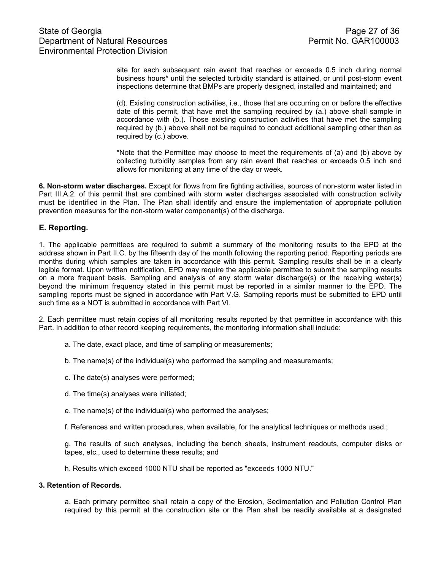site for each subsequent rain event that reaches or exceeds 0.5 inch during normal business hours\* until the selected turbidity standard is attained, or until post-storm event inspections determine that BMPs are properly designed, installed and maintained; and

(d). Existing construction activities, i.e., those that are occurring on or before the effective date of this permit, that have met the sampling required by  $(a)$  above shall sample in accordance with (b.). Those existing construction activities that have met the sampling required by (b.) above shall not be required to conduct additional sampling other than as required by (c.) above.

\*Note that the Permittee may choose to meet the requirements of (a) and (b) above by collecting turbidity samples from any rain event that reaches or exceeds 0.5 inch and allows for monitoring at any time of the day or week.

**6. Non-storm water discharges.** Except for flows from fire fighting activities, sources of non-storm water listed in Part III.A.2. of this permit that are combined with storm water discharges associated with construction activity must be identified in the Plan. The Plan shall identify and ensure the implementation of appropriate pollution prevention measures for the non-storm water component(s) of the discharge.

# **E. Reporting.**

1. The applicable permittees are required to submit a summary of the monitoring results to the EPD at the address shown in Part II.C. by the fifteenth day of the month following the reporting period. Reporting periods are months during which samples are taken in accordance with this permit. Sampling results shall be in a clearly legible format. Upon written notification, EPD may require the applicable permittee to submit the sampling results on a more frequent basis. Sampling and analysis of any storm water discharge(s) or the receiving water(s) beyond the minimum frequency stated in this permit must be reported in a similar manner to the EPD. The sampling reports must be signed in accordance with Part V.G. Sampling reports must be submitted to EPD until such time as a NOT is submitted in accordance with Part VI.

2. Each permittee must retain copies of all monitoring results reported by that permittee in accordance with this Part. In addition to other record keeping requirements, the monitoring information shall include:

- a. The date, exact place, and time of sampling or measurements;
- b. The name(s) of the individual(s) who performed the sampling and measurements;
- c. The date(s) analyses were performed;
- d. The time(s) analyses were initiated;
- e. The name(s) of the individual(s) who performed the analyses;
- f. References and written procedures, when available, for the analytical techniques or methods used.;

g. The results of such analyses, including the bench sheets, instrument readouts, computer disks or tapes, etc., used to determine these results; and

h. Results which exceed 1000 NTU shall be reported as "exceeds 1000 NTU."

#### **3. Retention of Records.**

a. Each primary permittee shall retain a copy of the Erosion, Sedimentation and Pollution Control Plan required by this permit at the construction site or the Plan shall be readily available at a designated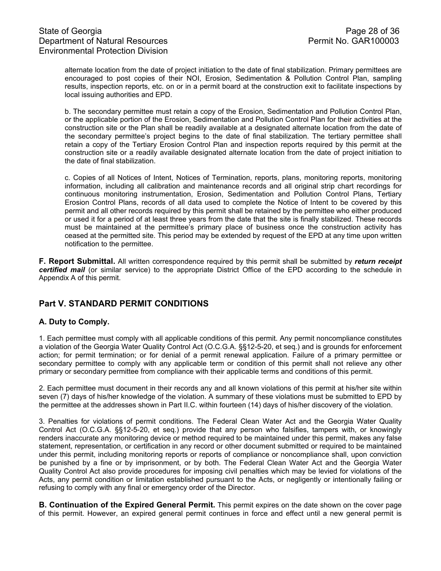# State of Georgia Page 28 of 36<br>Department of Natural Resources Permit No. GAR100003 Department of Natural Resources Environmental Protection Division

alternate location from the date of project initiation to the date of final stabilization. Primary permittees are encouraged to post copies of their NOI, Erosion, Sedimentation & Pollution Control Plan, sampling results, inspection reports, etc. on or in a permit board at the construction exit to facilitate inspections by local issuing authorities and EPD.

b. The secondary permittee must retain a copy of the Erosion, Sedimentation and Pollution Control Plan, or the applicable portion of the Erosion, Sedimentation and Pollution Control Plan for their activities at the construction site or the Plan shall be readily available at a designated alternate location from the date of the secondary permittee's project begins to the date of final stabilization. The tertiary permittee shall retain a copy of the Tertiary Erosion Control Plan and inspection reports required by this permit at the construction site or a readily available designated alternate location from the date of project initiation to the date of final stabilization.

c. Copies of all Notices of Intent, Notices of Termination, reports, plans, monitoring reports, monitoring information, including all calibration and maintenance records and all original strip chart recordings for continuous monitoring instrumentation, Erosion, Sedimentation and Pollution Control Plans, Tertiary Erosion Control Plans, records of all data used to complete the Notice of Intent to be covered by this permit and all other records required by this permit shall be retained by the permittee who either produced or used it for a period of at least three years from the date that the site is finally stabilized. These records must be maintained at the permittee's primary place of business once the construction activity has ceased at the permitted site. This period may be extended by request of the EPD at any time upon written notification to the permittee.

**F. Report Submittal.** All written correspondence required by this permit shall be submitted by *return receipt certified mail* (or similar service) to the appropriate District Office of the EPD according to the schedule in Appendix A of this permit.

# **Part V. STANDARD PERMIT CONDITIONS**

## **A. Duty to Comply.**

1. Each permittee must comply with all applicable conditions of this permit. Any permit noncompliance constitutes a violation of the Georgia Water Quality Control Act (O.C.G.A. §§12-5-20, et seq.) and is grounds for enforcement action; for permit termination; or for denial of a permit renewal application. Failure of a primary permittee or secondary permittee to comply with any applicable term or condition of this permit shall not relieve any other primary or secondary permittee from compliance with their applicable terms and conditions of this permit.

2. Each permittee must document in their records any and all known violations of this permit at his/her site within seven (7) days of his/her knowledge of the violation. A summary of these violations must be submitted to EPD by the permittee at the addresses shown in Part II.C. within fourteen (14) days of his/her discovery of the violation.

3. Penalties for violations of permit conditions. The Federal Clean Water Act and the Georgia Water Quality Control Act (O.C.G.A. §§12-5-20, et seq.) provide that any person who falsifies, tampers with, or knowingly renders inaccurate any monitoring device or method required to be maintained under this permit, makes any false statement, representation, or certification in any record or other document submitted or required to be maintained under this permit, including monitoring reports or reports of compliance or noncompliance shall, upon conviction be punished by a fine or by imprisonment, or by both. The Federal Clean Water Act and the Georgia Water Quality Control Act also provide procedures for imposing civil penalties which may be levied for violations of the Acts, any permit condition or limitation established pursuant to the Acts, or negligently or intentionally failing or refusing to comply with any final or emergency order of the Director.

**B. Continuation of the Expired General Permit.** This permit expires on the date shown on the cover page of this permit. However, an expired general permit continues in force and effect until a new general permit is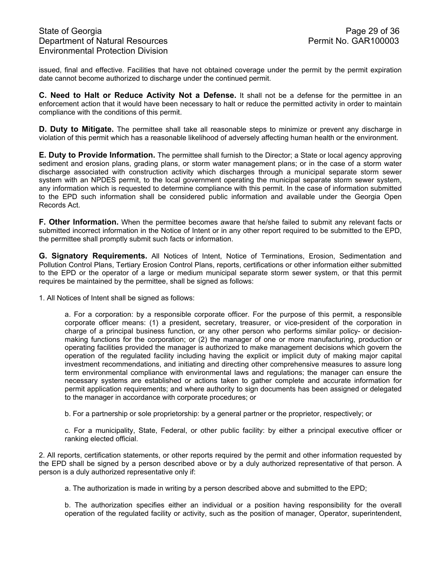issued, final and effective. Facilities that have not obtained coverage under the permit by the permit expiration date cannot become authorized to discharge under the continued permit.

**C. Need to Halt or Reduce Activity Not a Defense.** It shall not be a defense for the permittee in an enforcement action that it would have been necessary to halt or reduce the permitted activity in order to maintain compliance with the conditions of this permit.

**D. Duty to Mitigate.** The permittee shall take all reasonable steps to minimize or prevent any discharge in violation of this permit which has a reasonable likelihood of adversely affecting human health or the environment.

**E. Duty to Provide Information.** The permittee shall furnish to the Director; a State or local agency approving sediment and erosion plans, grading plans, or storm water management plans; or in the case of a storm water discharge associated with construction activity which discharges through a municipal separate storm sewer system with an NPDES permit, to the local government operating the municipal separate storm sewer system, any information which is requested to determine compliance with this permit. In the case of information submitted to the EPD such information shall be considered public information and available under the Georgia Open Records Act.

**F. Other Information.** When the permittee becomes aware that he/she failed to submit any relevant facts or submitted incorrect information in the Notice of Intent or in any other report required to be submitted to the EPD, the permittee shall promptly submit such facts or information.

**G. Signatory Requirements.** All Notices of Intent, Notice of Terminations, Erosion, Sedimentation and Pollution Control Plans, Tertiary Erosion Control Plans, reports, certifications or other information either submitted to the EPD or the operator of a large or medium municipal separate storm sewer system, or that this permit requires be maintained by the permittee, shall be signed as follows:

1. All Notices of Intent shall be signed as follows:

a. For a corporation: by a responsible corporate officer. For the purpose of this permit, a responsible corporate officer means: (1) a president, secretary, treasurer, or vice-president of the corporation in charge of a principal business function, or any other person who performs similar policy- or decisionmaking functions for the corporation; or (2) the manager of one or more manufacturing, production or operating facilities provided the manager is authorized to make management decisions which govern the operation of the regulated facility including having the explicit or implicit duty of making major capital investment recommendations, and initiating and directing other comprehensive measures to assure long term environmental compliance with environmental laws and regulations; the manager can ensure the necessary systems are established or actions taken to gather complete and accurate information for permit application requirements; and where authority to sign documents has been assigned or delegated to the manager in accordance with corporate procedures; or

b. For a partnership or sole proprietorship: by a general partner or the proprietor, respectively; or

c. For a municipality, State, Federal, or other public facility: by either a principal executive officer or ranking elected official.

2. All reports, certification statements, or other reports required by the permit and other information requested by the EPD shall be signed by a person described above or by a duly authorized representative of that person. A person is a duly authorized representative only if:

a. The authorization is made in writing by a person described above and submitted to the EPD;

b. The authorization specifies either an individual or a position having responsibility for the overall operation of the regulated facility or activity, such as the position of manager, Operator, superintendent,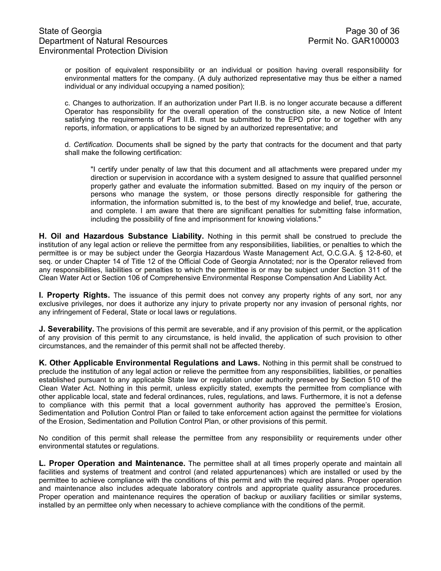or position of equivalent responsibility or an individual or position having overall responsibility for environmental matters for the company. (A duly authorized representative may thus be either a named individual or any individual occupying a named position);

c. Changes to authorization. If an authorization under Part II.B. is no longer accurate because a different Operator has responsibility for the overall operation of the construction site, a new Notice of Intent satisfying the requirements of Part II.B. must be submitted to the EPD prior to or together with any reports, information, or applications to be signed by an authorized representative; and

d. *Certification.* Documents shall be signed by the party that contracts for the document and that party shall make the following certification:

 "I certify under penalty of law that this document and all attachments were prepared under my direction or supervision in accordance with a system designed to assure that qualified personnel properly gather and evaluate the information submitted. Based on my inquiry of the person or persons who manage the system, or those persons directly responsible for gathering the information, the information submitted is, to the best of my knowledge and belief, true, accurate, and complete. I am aware that there are significant penalties for submitting false information, including the possibility of fine and imprisonment for knowing violations."

**H. Oil and Hazardous Substance Liability.** Nothing in this permit shall be construed to preclude the institution of any legal action or relieve the permittee from any responsibilities, liabilities, or penalties to which the permittee is or may be subject under the Georgia Hazardous Waste Management Act, O.C.G.A. § 12-8-60, et seq. or under Chapter 14 of Title 12 of the Official Code of Georgia Annotated; nor is the Operator relieved from any responsibilities, liabilities or penalties to which the permittee is or may be subject under Section 311 of the Clean Water Act or Section 106 of Comprehensive Environmental Response Compensation And Liability Act.

**I. Property Rights.** The issuance of this permit does not convey any property rights of any sort, nor any exclusive privileges, nor does it authorize any injury to private property nor any invasion of personal rights, nor any infringement of Federal, State or local laws or regulations.

**J. Severability.** The provisions of this permit are severable, and if any provision of this permit, or the application of any provision of this permit to any circumstance, is held invalid, the application of such provision to other circumstances, and the remainder of this permit shall not be affected thereby.

**K. Other Applicable Environmental Regulations and Laws.** Nothing in this permit shall be construed to preclude the institution of any legal action or relieve the permittee from any responsibilities, liabilities, or penalties established pursuant to any applicable State law or regulation under authority preserved by Section 510 of the Clean Water Act. Nothing in this permit, unless explicitly stated, exempts the permittee from compliance with other applicable local, state and federal ordinances, rules, regulations, and laws. Furthermore, it is not a defense to compliance with this permit that a local government authority has approved the permittee's Erosion, Sedimentation and Pollution Control Plan or failed to take enforcement action against the permittee for violations of the Erosion, Sedimentation and Pollution Control Plan, or other provisions of this permit.

No condition of this permit shall release the permittee from any responsibility or requirements under other environmental statutes or regulations.

**L. Proper Operation and Maintenance.** The permittee shall at all times properly operate and maintain all facilities and systems of treatment and control (and related appurtenances) which are installed or used by the permittee to achieve compliance with the conditions of this permit and with the required plans. Proper operation and maintenance also includes adequate laboratory controls and appropriate quality assurance procedures. Proper operation and maintenance requires the operation of backup or auxiliary facilities or similar systems, installed by an permittee only when necessary to achieve compliance with the conditions of the permit.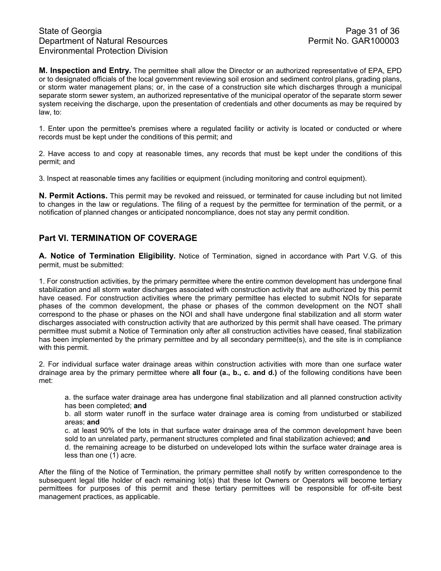**M. Inspection and Entry.** The permittee shall allow the Director or an authorized representative of EPA, EPD or to designated officials of the local government reviewing soil erosion and sediment control plans, grading plans, or storm water management plans; or, in the case of a construction site which discharges through a municipal separate storm sewer system, an authorized representative of the municipal operator of the separate storm sewer system receiving the discharge, upon the presentation of credentials and other documents as may be required by law, to:

1. Enter upon the permittee's premises where a regulated facility or activity is located or conducted or where records must be kept under the conditions of this permit; and

2. Have access to and copy at reasonable times, any records that must be kept under the conditions of this permit; and

3. Inspect at reasonable times any facilities or equipment (including monitoring and control equipment).

**N. Permit Actions.** This permit may be revoked and reissued, or terminated for cause including but not limited to changes in the law or regulations. The filing of a request by the permittee for termination of the permit, or a notification of planned changes or anticipated noncompliance, does not stay any permit condition.

# **Part VI. TERMINATION OF COVERAGE**

**A. Notice of Termination Eligibility.** Notice of Termination, signed in accordance with Part V.G. of this permit, must be submitted:

1. For construction activities, by the primary permittee where the entire common development has undergone final stabilization and all storm water discharges associated with construction activity that are authorized by this permit have ceased. For construction activities where the primary permittee has elected to submit NOIs for separate phases of the common development, the phase or phases of the common development on the NOT shall correspond to the phase or phases on the NOI and shall have undergone final stabilization and all storm water discharges associated with construction activity that are authorized by this permit shall have ceased. The primary permittee must submit a Notice of Termination only after all construction activities have ceased, final stabilization has been implemented by the primary permittee and by all secondary permittee(s), and the site is in compliance with this permit.

2. For individual surface water drainage areas within construction activities with more than one surface water drainage area by the primary permittee where **all four (a., b., c. and d.)** of the following conditions have been met:

a. the surface water drainage area has undergone final stabilization and all planned construction activity has been completed; **and**

b. all storm water runoff in the surface water drainage area is coming from undisturbed or stabilized areas; **and** 

c. at least 90% of the lots in that surface water drainage area of the common development have been sold to an unrelated party, permanent structures completed and final stabilization achieved; **and** 

d. the remaining acreage to be disturbed on undeveloped lots within the surface water drainage area is less than one (1) acre.

After the filing of the Notice of Termination, the primary permittee shall notify by written correspondence to the subsequent legal title holder of each remaining lot(s) that these lot Owners or Operators will become tertiary permittees for purposes of this permit and these tertiary permittees will be responsible for off-site best management practices, as applicable.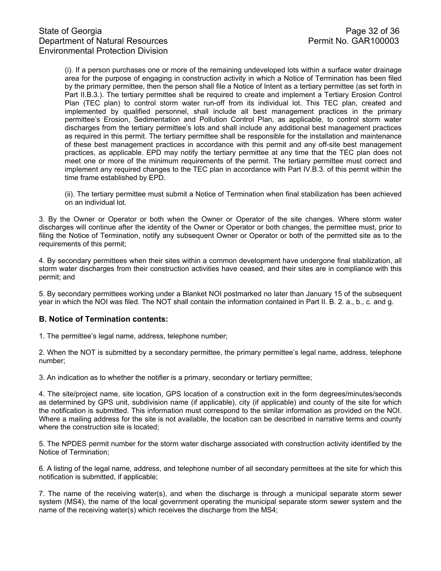(i). If a person purchases one or more of the remaining undeveloped lots within a surface water drainage area for the purpose of engaging in construction activity in which a Notice of Termination has been filed by the primary permittee, then the person shall file a Notice of Intent as a tertiary permittee (as set forth in Part II.B.3.). The tertiary permittee shall be required to create and implement a Tertiary Erosion Control Plan (TEC plan) to control storm water run-off from its individual lot. This TEC plan, created and implemented by qualified personnel, shall include all best management practices in the primary permittee's Erosion, Sedimentation and Pollution Control Plan, as applicable, to control storm water discharges from the tertiary permittee's lots and shall include any additional best management practices as required in this permit. The tertiary permittee shall be responsible for the installation and maintenance of these best management practices in accordance with this permit and any off-site best management practices, as applicable. EPD may notify the tertiary permittee at any time that the TEC plan does not meet one or more of the minimum requirements of the permit. The tertiary permittee must correct and implement any required changes to the TEC plan in accordance with Part IV.B.3. of this permit within the time frame established by EPD.

(ii). The tertiary permittee must submit a Notice of Termination when final stabilization has been achieved on an individual lot.

3. By the Owner or Operator or both when the Owner or Operator of the site changes. Where storm water discharges will continue after the identity of the Owner or Operator or both changes, the permittee must, prior to filing the Notice of Termination, notify any subsequent Owner or Operator or both of the permitted site as to the requirements of this permit;

4. By secondary permittees when their sites within a common development have undergone final stabilization, all storm water discharges from their construction activities have ceased, and their sites are in compliance with this permit; and

5. By secondary permittees working under a Blanket NOI postmarked no later than January 15 of the subsequent year in which the NOI was filed. The NOT shall contain the information contained in Part II. B. 2. a., b., c. and g.

## **B. Notice of Termination contents:**

1. The permittee's legal name, address, telephone number;

2. When the NOT is submitted by a secondary permittee, the primary permittee's legal name, address, telephone number;

3. An indication as to whether the notifier is a primary, secondary or tertiary permittee;

4. The site/project name, site location, GPS location of a construction exit in the form degrees/minutes/seconds as determined by GPS unit, subdivision name (if applicable), city (if applicable) and county of the site for which the notification is submitted. This information must correspond to the similar information as provided on the NOI. Where a mailing address for the site is not available, the location can be described in narrative terms and county where the construction site is located;

5. The NPDES permit number for the storm water discharge associated with construction activity identified by the Notice of Termination;

6. A listing of the legal name, address, and telephone number of all secondary permittees at the site for which this notification is submitted, if applicable;

7. The name of the receiving water(s), and when the discharge is through a municipal separate storm sewer system (MS4), the name of the local government operating the municipal separate storm sewer system and the name of the receiving water(s) which receives the discharge from the MS4;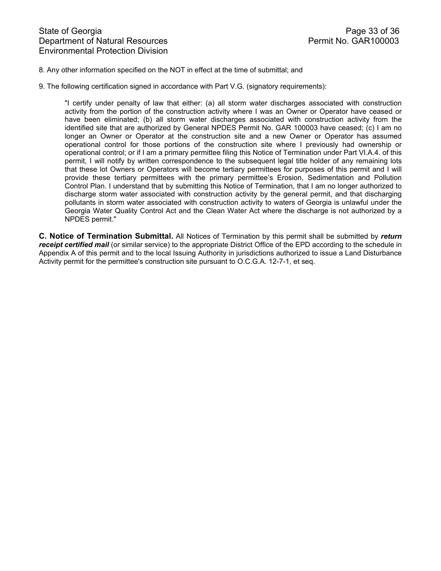### 8. Any other information specified on the NOT in effect at the time of submittal; and

9. The following certification signed in accordance with Part V.G. (signatory requirements):

"I certify under penalty of law that either: (a) all storm water discharges associated with construction activity from the portion of the construction activity where I was an Owner or Operator have ceased or have been eliminated; (b) all storm water discharges associated with construction activity from the identified site that are authorized by General NPDES Permit No. GAR 100003 have ceased; (c) I am no longer an Owner or Operator at the construction site and a new Owner or Operator has assumed operational control for those portions of the construction site where I previously had ownership or operational control; or if I am a primary permittee filing this Notice of Termination under Part VI.A.4. of this permit, I will notify by written correspondence to the subsequent legal title holder of any remaining lots that these lot Owners or Operators will become tertiary permittees for purposes of this permit and I will provide these tertiary permittees with the primary permittee's Erosion, Sedimentation and Pollution Control Plan. I understand that by submitting this Notice of Termination, that I am no longer authorized to discharge storm water associated with construction activity by the general permit, and that discharging pollutants in storm water associated with construction activity to waters of Georgia is unlawful under the Georgia Water Quality Control Act and the Clean Water Act where the discharge is not authorized by a NPDES permit."

**C. Notice of Termination Submittal.** All Notices of Termination by this permit shall be submitted by *return receipt certified mail* (or similar service) to the appropriate District Office of the EPD according to the schedule in Appendix A of this permit and to the local Issuing Authority in jurisdictions authorized to issue a Land Disturbance Activity permit for the permittee's construction site pursuant to O.C.G.A. 12-7-1, et seq.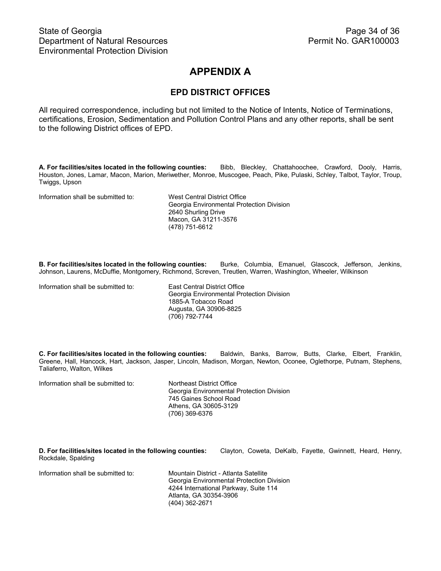# **APPENDIX A**

# **EPD DISTRICT OFFICES**

All required correspondence, including but not limited to the Notice of Intents, Notice of Terminations, certifications, Erosion, Sedimentation and Pollution Control Plans and any other reports, shall be sent to the following District offices of EPD.

**A. For facilities/sites located in the following counties:** Bibb, Bleckley, Chattahoochee, Crawford, Dooly, Harris, Houston, Jones, Lamar, Macon, Marion, Meriwether, Monroe, Muscogee, Peach, Pike, Pulaski, Schley, Talbot, Taylor, Troup, Twiggs, Upson

Information shall be submitted to: West Central District Office

Georgia Environmental Protection Division 2640 Shurling Drive Macon, GA 31211-3576 (478) 751-6612

**B. For facilities/sites located in the following counties:** Burke, Columbia, Emanuel, Glascock, Jefferson, Jenkins, Johnson, Laurens, McDuffie, Montgomery, Richmond, Screven, Treutlen, Warren, Washington, Wheeler, Wilkinson

Information shall be submitted to: East Central District Office

 Georgia Environmental Protection Division 1885-A Tobacco Road Augusta, GA 30906-8825 (706) 792-7744

**C. For facilities/sites located in the following counties:** Baldwin, Banks, Barrow, Butts, Clarke, Elbert, Franklin, Greene, Hall, Hancock, Hart, Jackson, Jasper, Lincoln, Madison, Morgan, Newton, Oconee, Oglethorpe, Putnam, Stephens, Taliaferro, Walton, Wilkes

Information shall be submitted to: Northeast District Office Georgia Environmental Protection Division 745 Gaines School Road Athens, GA 30605-3129 (706) 369-6376

**D. For facilities/sites located in the following counties:** Clayton, Coweta, DeKalb, Fayette, Gwinnett, Heard, Henry, Rockdale, Spalding

Information shall be submitted to: Mountain District - Atlanta Satellite

Georgia Environmental Protection Division 4244 International Parkway, Suite 114 Atlanta, GA 30354-3906 (404) 362-2671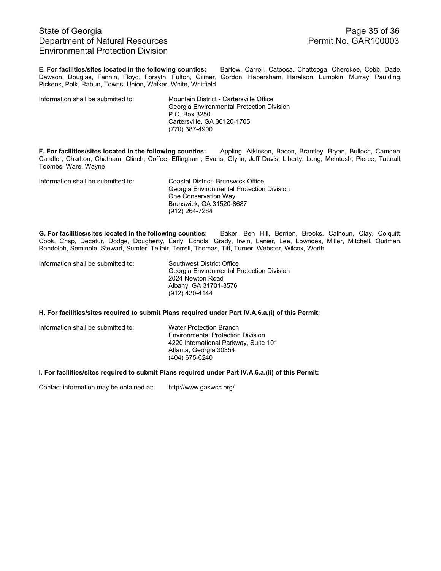# State of Georgia **Page 35 of 36** Department of Natural Resources **Permit No. GAR100003** Environmental Protection Division

**E. For facilities/sites located in the following counties:** Bartow, Carroll, Catoosa, Chattooga, Cherokee, Cobb, Dade, Dawson, Douglas, Fannin, Floyd, Forsyth, Fulton, Gilmer, Gordon, Habersham, Haralson, Lumpkin, Murray, Paulding, Pickens, Polk, Rabun, Towns, Union, Walker, White, Whitfield

Information shall be submitted to: Mountain District - Cartersville Office

 Georgia Environmental Protection Division P.O. Box 3250 Cartersville, GA 30120-1705 (770) 387-4900

**F. For facilities/sites located in the following counties:** Appling, Atkinson, Bacon, Brantley, Bryan, Bulloch, Camden, Candler, Charlton, Chatham, Clinch, Coffee, Effingham, Evans, Glynn, Jeff Davis, Liberty, Long, McIntosh, Pierce, Tattnall, Toombs, Ware, Wayne

Information shall be submitted to: Coastal District- Brunswick Office

Georgia Environmental Protection Division One Conservation Way Brunswick, GA 31520-8687 (912) 264-7284

**G. For facilities/sites located in the following counties:** Baker, Ben Hill, Berrien, Brooks, Calhoun, Clay, Colquitt, Cook, Crisp, Decatur, Dodge, Dougherty, Early, Echols, Grady, Irwin, Lanier, Lee, Lowndes, Miller, Mitchell, Quitman, Randolph, Seminole, Stewart, Sumter, Telfair, Terrell, Thomas, Tift, Turner, Webster, Wilcox, Worth

Information shall be submitted to: Southwest District Office

Georgia Environmental Protection Division 2024 Newton Road Albany, GA 31701-3576 (912) 430-4144

#### **H. For facilities/sites required to submit Plans required under Part IV.A.6.a.(i) of this Permit:**

| Information shall be submitted to: | <b>Water Protection Branch</b><br><b>Environmental Protection Division</b><br>4220 International Parkway, Suite 101<br>Atlanta, Georgia 30354 |
|------------------------------------|-----------------------------------------------------------------------------------------------------------------------------------------------|
|                                    |                                                                                                                                               |
|                                    | (404) 675-6240                                                                                                                                |

#### **I. For facilities/sites required to submit Plans required under Part IV.A.6.a.(ii) of this Permit:**

Contact information may be obtained at: http://www.gaswcc.org/